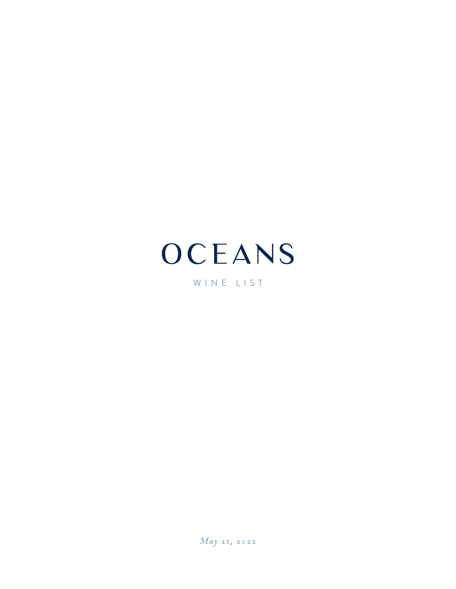# OCEANS

WINE LIST

*May 21, 2022*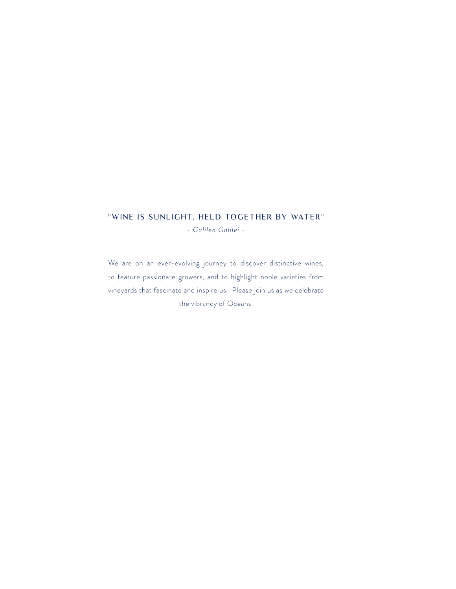#### "WINE IS SUNLIGHT, HELD TOGETHER BY WATER"

*- Galileo Galilei -*

We are on an ever-evolving journey to discover distinctive wines, to feature passionate growers, and to highlight noble varieties from vineyards that fascinate and inspire us. Please join us as we celebrate the vibrancy of Oceans.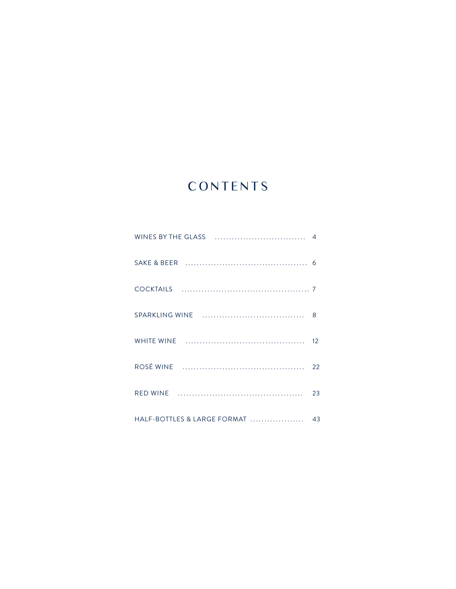## CONTENTS

|                             | 6  |
|-----------------------------|----|
|                             |    |
|                             | 8  |
|                             | 12 |
|                             | 22 |
|                             | 23 |
| HALF-BOTTLES & LARGE FORMAT | 43 |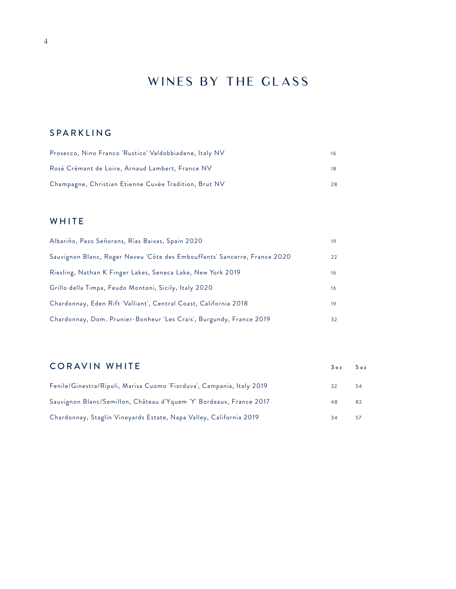## WINES BY THE GLASS

### SPARKLING

| Prosecco, Nino Franco 'Rustico' Valdobbiadene, Italy NV | 16 |
|---------------------------------------------------------|----|
| Rosé Crémant de Loire, Arnaud Lambert, France NV        | 18 |
| Champagne, Christian Etienne Cuvée Tradition, Brut NV   | 28 |

### WHITE

| Albariño, Pazo Señorans, Rías Baixas, Spain 2020                          | 19 |
|---------------------------------------------------------------------------|----|
| Sauvignon Blanc, Roger Neveu 'Côte des Embouffants' Sancerre, France 2020 | 22 |
| Riesling, Nathan K Finger Lakes, Seneca Lake, New York 2019               | 16 |
| Grillo della Timpa, Feudo Montoni, Sicily, Italy 2020                     | 16 |
| Chardonnay, Eden Rift 'Valliant', Central Coast, California 2018          | 19 |
| Chardonnay, Dom. Prunier-Bonheur 'Les Crais', Burgundy, France 2019       | 32 |

### CORAVIN WHITE 30z 50z

| Fenile/Ginestra/Ripoli, Marisa Cuomo 'Fiorduva', Campania, Italy 2019 | 32 | 54 |
|-----------------------------------------------------------------------|----|----|
| Sauvignon Blanc/Semillon, Château d'Yquem 'Y' Bordeaux, France 2017   | 48 | 82 |
| Chardonnay, Staglin Vineyards Estate, Napa Valley, California 2019    |    | 57 |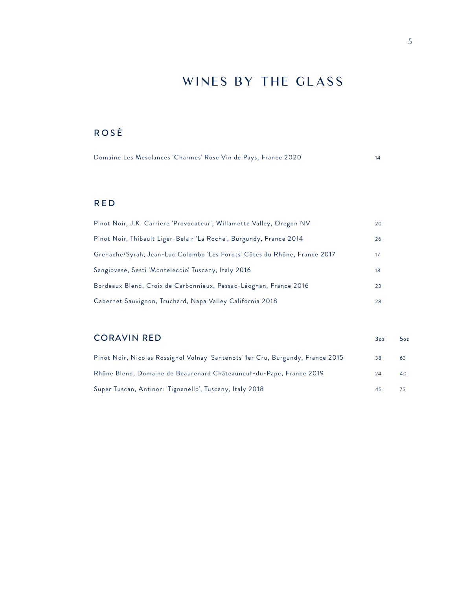## WINES BY THE GLASS

### ROSÉ

| Domaine Les Mesclances 'Charmes' Rose Vin de Pays, France 2020 |  |  |
|----------------------------------------------------------------|--|--|
|----------------------------------------------------------------|--|--|

### RED

| Pinot Noir, J.K. Carriere 'Provocateur', Willamette Valley, Oregon NV     | 20 |
|---------------------------------------------------------------------------|----|
| Pinot Noir, Thibault Liger-Belair 'La Roche', Burgundy, France 2014       | 26 |
| Grenache/Syrah, Jean-Luc Colombo 'Les Forots' Côtes du Rhône, France 2017 | 17 |
| Sangiovese, Sesti 'Monteleccio' Tuscany, Italy 2016                       | 18 |
| Bordeaux Blend, Croix de Carbonnieux, Pessac-Léognan, France 2016         | 23 |
| Cabernet Sauvignon, Truchard, Napa Valley California 2018                 | 28 |

### CORAVIN RED 30z 50z 50z

| Pinot Noir, Nicolas Rossignol Volnay 'Santenots' 1er Cru, Burgundy, France 2015 | 38 | 63 |
|---------------------------------------------------------------------------------|----|----|
| Rhône Blend, Domaine de Beaurenard Châteauneuf-du-Pape, France 2019             | 24 | 40 |
| Super Tuscan, Antinori 'Tignanello', Tuscany, Italy 2018                        | 45 |    |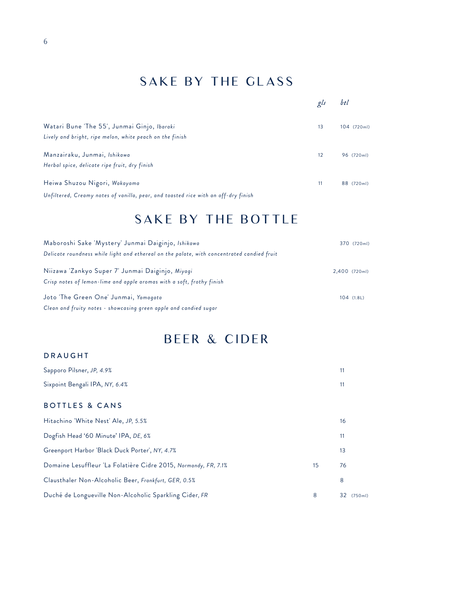## SAKE BY THE GLASS

|                                                                                    | gls | btl         |
|------------------------------------------------------------------------------------|-----|-------------|
| Watari Bune 'The 55', Junmai Ginjo, Ibaraki                                        | 13  | 104 (720ml) |
| Lively and bright, ripe melon, white peach on the finish                           |     |             |
| Manzairaku, Junmai, Ishikawa                                                       | 12  | 96 (720ml)  |
| Herbal spice, delicate ripe fruit, dry finish                                      |     |             |
| Heiwa Shuzou Nigori, Wakayama                                                      | 11  | 88 (720ml)  |
| Unfiltered, Creamy notes of vanilla, pear, and toasted rice with an off-dry finish |     |             |

## SAKE BY THE BOTTLE

| Maboroshi Sake 'Mystery' Junmai Daiginjo, Ishikawa                                         |               | 370 (720ml) |
|--------------------------------------------------------------------------------------------|---------------|-------------|
| Delicate roundness while light and ethereal on the palate, with concentrated candied fruit |               |             |
| Niizawa Zankyo Super 7' Junmai Daiginjo, Miyagi                                            | 2,400 (720ml) |             |
| Crisp notes of lemon-lime and apple aromas with a soft, frothy finish                      |               |             |
| Joto 'The Green One' Junmai, Yamagata                                                      | $104$ (1.8L)  |             |
| Clean and fruity notes - showcasing green apple and candied sugar                          |               |             |

## BEER & CIDER

#### DRAUGHT

| Sapporo Pilsner, JP, 4.9%                                       |    | 11                        |
|-----------------------------------------------------------------|----|---------------------------|
| Sixpoint Bengali IPA, NY, 6.4%                                  |    | 11                        |
| <b>BOTTLES &amp; CANS</b>                                       |    |                           |
| Hitachino 'White Nest' Ale, JP, 5.5%                            |    | 16                        |
| Dogfish Head '60 Minute' IPA, DE, 6%                            |    | 11                        |
| Greenport Harbor 'Black Duck Porter', NY, 4.7%                  |    | 13                        |
| Domaine Lesuffleur 'La Folatière Cidre 2015, Normandy, FR, 7.1% | 15 | 76                        |
| Clausthaler Non-Alcoholic Beer, Frankfurt, GER, 0.5%            |    | 8                         |
| Duché de Longueville Non-Alcoholic Sparkling Cider, FR          | 8  | 32<br>(750 <sub>m</sub> ) |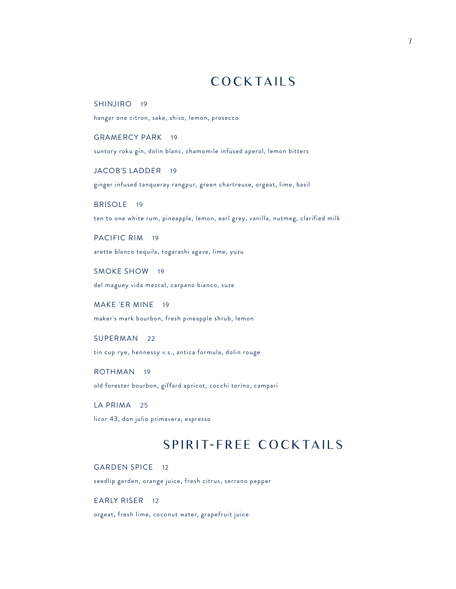## **COCKTAILS**

SHINJIRO 19 hangar one citron, sake, shiso, lemon, prosecco

GRAMERCY PARK 19 suntory roku gin, dolin blanc, chamomile infused aperol, lemon bitters

JACOB'S LADDER 19 ginger infused tanqueray rangpur, green chartreuse, orgeat, lime, basil

BRISOLE 19 ten to one white rum, pineapple, lemon, earl grey, vanilla, nutmeg, clarified milk

PACIFIC RIM 19 arette blanco tequila, togarashi agave, lime, yuzu

SMOKE SHOW 19 del maguey vida mezcal, carpano bianco, suze

MAKE 'ER MINE 19 maker's mark bourbon, fresh pineapple shrub, lemon

SUPERMAN 22 tin cup rye, hennessy v.s., antica formula, dolin rouge

ROTHMAN 19 old forester bourbon, giffard apricot, cocchi torino, campari

LA PRIMA 25 licor 43, don julio primavera, espresso

## SPIRIT-FREE COCKTAILS

GARDEN SPICE 12

seedlip garden, orange juice, fresh citrus, serrano pepper

EARLY RISER 12 orgeat, fresh lime, coconut water, grapefruit juice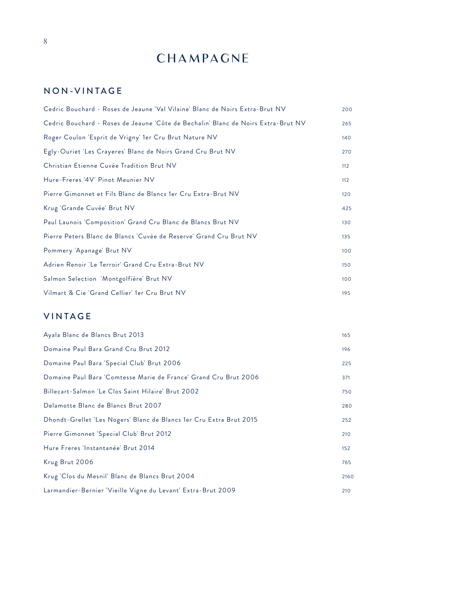## **CHAMPAGNE**

### NON-VINTAGE

| 200 |
|-----|
| 265 |
| 140 |
| 270 |
| 112 |
| 112 |
| 120 |
| 425 |
| 130 |
| 135 |
| 100 |
| 150 |
| 100 |
| 195 |
|     |

### VINTAGE

| Ayala Blanc de Blancs Brut 2013                                     | 165  |
|---------------------------------------------------------------------|------|
| Domaine Paul Bara Grand Cru Brut 2012                               | 196  |
| Domaine Paul Bara 'Special Club' Brut 2006                          | 225  |
| Domaine Paul Bara 'Comtesse Marie de France' Grand Cru Brut 2006    | 371  |
| Billecart-Salmon 'Le Clos Saint Hilaire' Brut 2002                  | 750  |
| Delamotte Blanc de Blancs Brut 2007                                 | 280  |
| Dhondt-Grellet 'Les Nogers' Blanc de Blancs 1er Cru Extra Brut 2015 | 252  |
| Pierre Gimonnet 'Special Club' Brut 2012                            | 210  |
| Hure Freres 'Instantanée' Brut 2014                                 | 152  |
| Krug Brut 2006                                                      | 765  |
| Krug 'Clos du Mesnil' Blanc de Blancs Brut 2004                     | 2160 |
| Larmandier-Bernier 'Vieille Vigne du Levant' Extra-Brut 2009        | 210  |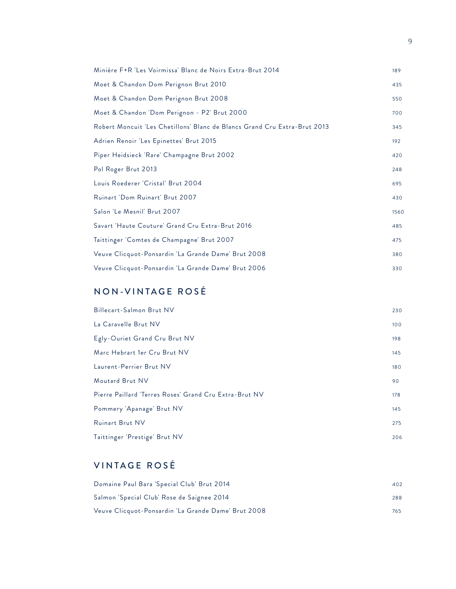| Miniére F+R 'Les Voirmissa' Blanc de Noirs Extra-Brut 2014                | 189  |
|---------------------------------------------------------------------------|------|
| Moet & Chandon Dom Perignon Brut 2010                                     | 435  |
| Moet & Chandon Dom Perignon Brut 2008                                     | 550  |
| Moet & Chandon 'Dom Perignon - P2' Brut 2000                              | 700  |
| Robert Moncuit 'Les Chetillons' Blanc de Blancs Grand Cru Extra-Brut 2013 | 345  |
| Adrien Renoir 'Les Epinettes' Brut 2015                                   | 192  |
| Piper Heidsieck 'Rare' Champagne Brut 2002                                | 420  |
| Pol Roger Brut 2013                                                       | 248  |
| Louis Roederer 'Cristal' Brut 2004                                        | 695  |
| Ruinart 'Dom Ruinart' Brut 2007                                           | 430  |
| Salon 'Le Mesnil' Brut 2007                                               | 1560 |
| Savart 'Haute Couture' Grand Cru Extra-Brut 2016                          | 485  |
| Taittinger 'Comtes de Champagne' Brut 2007                                | 475  |
| Veuve Clicquot-Ponsardin 'La Grande Dame' Brut 2008                       | 380  |
| Veuve Clicquot-Ponsardin 'La Grande Dame' Brut 2006                       | 330  |

### NON-VINTAGE ROSÉ

| Billecart-Salmon Brut NV                               | 230 |
|--------------------------------------------------------|-----|
| La Caravelle Brut NV                                   | 100 |
| Egly-Ouriet Grand Cru Brut NV                          | 198 |
| Marc Hebrart 1er Cru Brut NV                           | 145 |
| Laurent-Perrier Brut NV                                | 180 |
| Moutard Brut NV                                        | 90  |
| Pierre Paillard 'Terres Roses' Grand Cru Extra-Brut NV | 178 |
| Pommery 'Apanage' Brut NV                              | 145 |
| Ruinart Brut NV                                        | 275 |
| Taittinger 'Prestige' Brut NV                          | 206 |

### VINTAGE ROSÉ

| Domaine Paul Bara 'Special Club' Brut 2014          | 402 |
|-----------------------------------------------------|-----|
| Salmon 'Special Club' Rose de Saignee 2014          | 288 |
| Veuve Clicquot-Ponsardin 'La Grande Dame' Brut 2008 | 765 |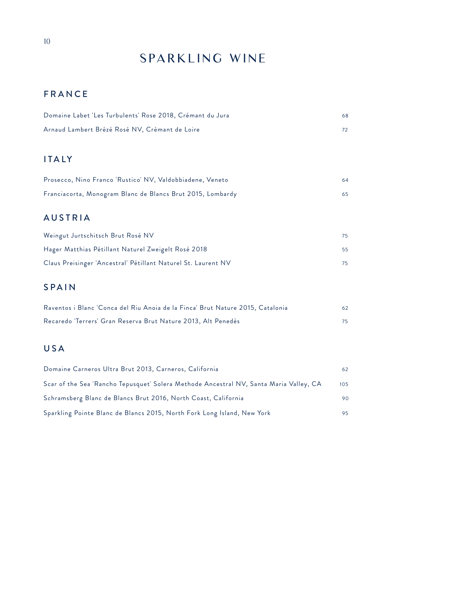## SPARKLING WINE

### FRANCE

| Domaine Labet 'Les Turbulents' Rose 2018, Crémant du Jura | 68 |
|-----------------------------------------------------------|----|
| Arnaud Lambert Brézé Rosé NV, Crémant de Loire            |    |

### ITALY

| Prosecco, Nino Franco 'Rustico' NV, Valdobbiadene, Veneto  | 64. |
|------------------------------------------------------------|-----|
| Franciacorta, Monogram Blanc de Blancs Brut 2015, Lombardy |     |

### AUSTRIA

| Weingut Jurtschitsch Brut Rosé NV                             | 75. |
|---------------------------------------------------------------|-----|
| Hager Matthias Pétillant Naturel Zweigelt Rosé 2018           | 55. |
| Claus Preisinger 'Ancestral' Pétillant Naturel St. Laurent NV | 75. |

### SPAIN

| Raventos i Blanc 'Conca del Riu Anoia de la Finca' Brut Nature 2015, Catalonia | 62 |
|--------------------------------------------------------------------------------|----|
| Recaredo 'Terrers' Gran Reserva Brut Nature 2013, Alt Penedès                  |    |

### USA

| Domaine Carneros Ultra Brut 2013, Carneros, California                                 | 62  |
|----------------------------------------------------------------------------------------|-----|
| Scar of the Sea 'Rancho Tepusquet' Solera Methode Ancestral NV, Santa Maria Valley, CA | 105 |
| Schramsberg Blanc de Blancs Brut 2016, North Coast, California                         | 90  |
| Sparkling Pointe Blanc de Blancs 2015, North Fork Long Island, New York                | 95  |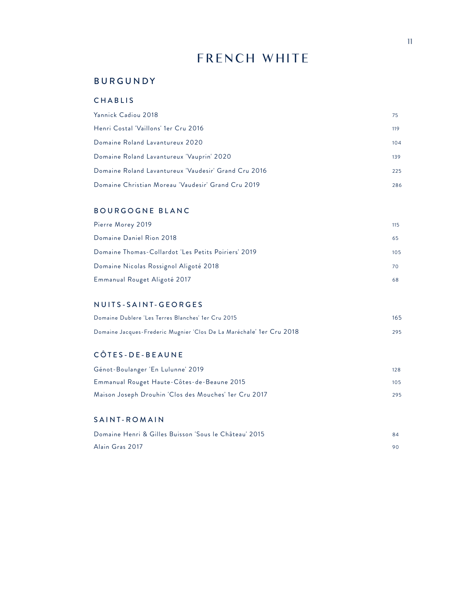## FRENCH WHITE

#### BURGUNDY

#### CHABLIS

| Yannick Cadiou 2018                                  | 75. |
|------------------------------------------------------|-----|
| Henri Costal 'Vaillons' 1er Cru 2016                 | 119 |
| Domaine Roland Lavantureux 2020                      | 104 |
| Domaine Roland Lavantureux 'Vauprin' 2020            | 139 |
| Domaine Roland Lavantureux 'Vaudesir' Grand Cru 2016 | 225 |
| Domaine Christian Moreau 'Vaudesir' Grand Cru 2019   | 286 |

#### BOURGOGNE BLANC

| Pierre Morey 2019                                   | 115 |
|-----------------------------------------------------|-----|
| Domaine Daniel Rion 2018                            | 65  |
| Domaine Thomas-Collardot 'Les Petits Poiriers' 2019 | 105 |
| Domaine Nicolas Rossignol Aligoté 2018              | 70  |
| Emmanual Rouget Aligoté 2017                        | 68  |

#### NUITS-SAINT-GEORGES

| Domaine Dublere 'Les Terres Blanches' 1er Cru 2015                   | 165 |
|----------------------------------------------------------------------|-----|
| Domaine Jacques-Frederic Mugnier 'Clos De La Maréchale' 1er Cru 2018 | 295 |

#### CÔTES-DE-BEAUNE

| Génot-Boulanger 'En Lulunne' 2019                     | 128 |
|-------------------------------------------------------|-----|
| Emmanual Rouget Haute-Côtes-de-Beaune 2015            | 105 |
| Maison Joseph Drouhin 'Clos des Mouches' 1er Cru 2017 | 295 |

#### SAINT-ROMAIN

| Domaine Henri & Gilles Buisson 'Sous le Château' 2015 | 84 |
|-------------------------------------------------------|----|
| Alain Gras 2017                                       |    |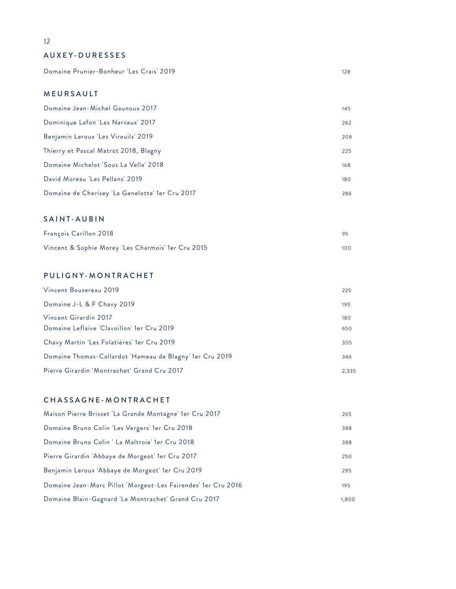#### AUXEY-DURESSES

Domaine Prunier-Bonheur 'Les Crais' 2019 128

#### MEURSAULT

| Dominique Lafon 'Les Narvaux' 2017<br>262               |
|---------------------------------------------------------|
| Benjamin Leroux 'Les Vireuils' 2019<br>208              |
| Thierry et Pascal Matrot 2018, Blagny<br>225            |
| Domaine Michelot 'Sous La Velle' 2018<br>168            |
| David Moreau 'Les Pellans' 2019<br>180                  |
| Domaine de Cherisey 'La Genelotte' 1 er Cru 2017<br>286 |

#### SAINT-AUBIN

| <b>François Carillon 2018</b>                      |     |
|----------------------------------------------------|-----|
| Vincent & Sophie Morey 'Les Charmois' 1er Cru 2015 | 100 |

#### PULIGNY-MONTRACHET

| Vincent Bouzereau 2019                                   | 225   |
|----------------------------------------------------------|-------|
| Domaine J-L & F Chavy 2019                               | 195   |
| Vincent Girardin 2017                                    | 180   |
| Domaine Leflaive 'Clavoillon' 1er Cru 2019               | 650   |
| Chavy Martin 'Les Folatières' 1er Cru 2019               | 305   |
| Domaine Thomas-Collardot 'Hameau de Blagny' 1er Cru 2019 | 346   |
| Pierre Girardin 'Montrachet' Grand Cru 2017              | 2,335 |

#### CHASSAGNE-MONTRACHET

| Maison Pierre Brisset 'La Grande Montagne' 1er Cru 2017       | 265   |
|---------------------------------------------------------------|-------|
| Domaine Bruno Colin 'Les Vergers' 1er Cru 2018                | 388   |
| Domaine Bruno Colin 'La Maltroie' 1er Cru 2018                | 388   |
| Pierre Girardin 'Abbaye de Morgeot' 1er Cru 2017              | 250   |
| Benjamin Leroux 'Abbaye de Morgeot' 1er Cru 2019              | 295   |
| Domaine Jean-Marc Pillot 'Morgeot-Les Fairendes' 1er Cru 2016 | 195   |
| Domaine Blain-Gagnard 'Le Montrachet' Grand Cru 2017          | 1.800 |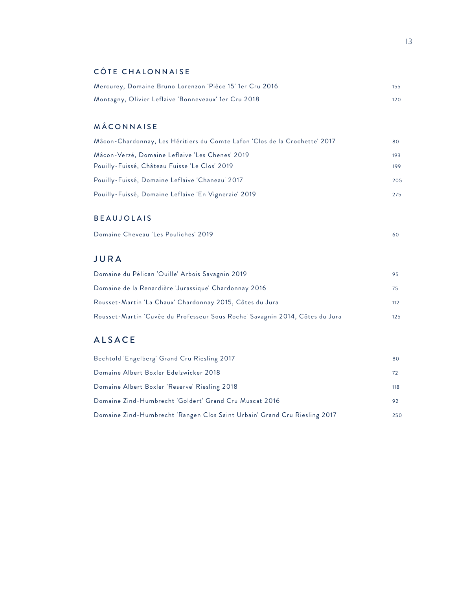### CÔTE CHALONNAISE

| Mercurey, Domaine Bruno Lorenzon 'Pièce 15' 1er Cru 2016 |     |
|----------------------------------------------------------|-----|
| Montagny, Olivier Leflaive 'Bonneveaux' 1er Cru 2018     | 120 |

### MÂCONNAISE

| Mâcon-Chardonnay, Les Héritiers du Comte Lafon 'Clos de la Crochette' 2017 | 80  |
|----------------------------------------------------------------------------|-----|
| Mâcon-Verzé, Domaine Leflaive 'Les Chenes' 2019                            | 193 |
| Pouilly-Fuissé, Château Fuisse 'Le Clos' 2019                              | 199 |
| Pouilly-Fuissé, Domaine Leflaive 'Chaneau' 2017                            | 205 |
| Pouilly-Fuissé, Domaine Leflaive 'En Vigneraie' 2019                       | 275 |

#### BEAUJOLAIS

| Domaine Cheveau 'Les Pouliches' 2019 |  |
|--------------------------------------|--|
|--------------------------------------|--|

### JURA

| Domaine du Pélican 'Ouille' Arbois Savagnin 2019                             | 95  |
|------------------------------------------------------------------------------|-----|
| Domaine de la Renardière 'Jurassique' Chardonnay 2016                        | 75  |
| Rousset-Martin 'La Chaux' Chardonnay 2015, Côtes du Jura                     | 112 |
| Rousset-Martin 'Cuvée du Professeur Sous Roche' Savagnin 2014, Côtes du Jura | 125 |

### ALSACE

| Bechtold 'Engelberg' Grand Cru Riesling 2017                              | 80  |
|---------------------------------------------------------------------------|-----|
| Domaine Albert Boxler Edelzwicker 2018                                    | 72  |
| Domaine Albert Boxler 'Reserve' Riesling 2018                             | 118 |
| Domaine Zind-Humbrecht 'Goldert' Grand Cru Muscat 2016                    | 92  |
| Domaine Zind-Humbrecht 'Rangen Clos Saint Urbain' Grand Cru Riesling 2017 | 250 |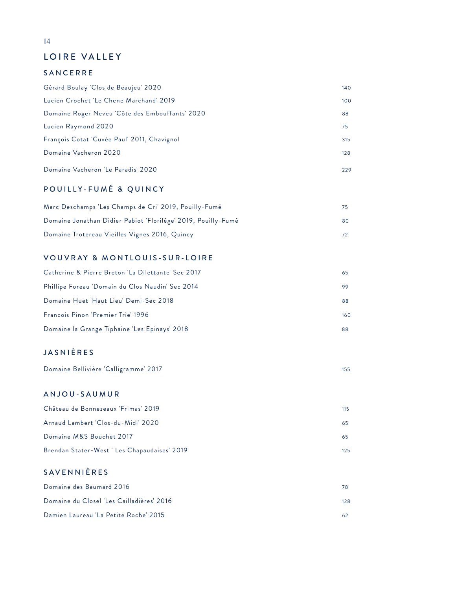### LOIRE VALLEY

#### SANCERRE

| Gérard Boulay 'Clos de Beaujeu' 2020            | 140 |
|-------------------------------------------------|-----|
| Lucien Crochet 'Le Chene Marchand' 2019         | 100 |
| Domaine Roger Neveu 'Côte des Embouffants' 2020 | 88  |
| Lucien Raymond 2020                             | 75  |
| François Cotat 'Cuvée Paul' 2011, Chavignol     | 315 |
| Domaine Vacheron 2020                           | 128 |
| Domaine Vacheron 'Le Paradis' 2020              | 229 |

### POUILLY-FUMÉ & QUINCY

| Marc Deschamps 'Les Champs de Cri' 2019, Pouilly-Fumé         |     |
|---------------------------------------------------------------|-----|
| Domaine Jonathan Didier Pabiot 'Florilège' 2019, Pouilly-Fumé | 80. |
| Domaine Trotereau Vieilles Vignes 2016, Quincy                |     |

### VOUVRAY & MONTLOUIS-SUR-LOIRE

| Catherine & Pierre Breton 'La Dilettante' Sec 2017 | 65  |
|----------------------------------------------------|-----|
| Phillipe Foreau 'Domain du Clos Naudin' Sec 2014   | 99  |
| Domaine Huet 'Haut Lieu' Demi-Sec 2018             | 88  |
| Francois Pinon 'Premier Trie' 1996                 | 160 |
| Domaine la Grange Tiphaine 'Les Epinays' 2018      | 88  |

### JASNIÈRES

|  | Domaine Bellivière 'Calligramme' 2017 |  |
|--|---------------------------------------|--|
|--|---------------------------------------|--|

### ANJOU-SAUMUR

| Château de Bonnezeaux 'Frimas' 2019         | 115     |
|---------------------------------------------|---------|
| Arnaud Lambert 'Clos-du-Midi' 2020          | 65      |
| Domaine M&S Bouchet 2017                    | 65      |
| Brendan Stater-West 'Les Chapaudaises' 2019 | $125 -$ |

#### SAVENNIÈRES

| Domaine des Baumard 2016                  | 78  |
|-------------------------------------------|-----|
| Domaine du Closel 'Les Cailladières' 2016 | 128 |
| Damien Laureau 'La Petite Roche' 2015     | 62  |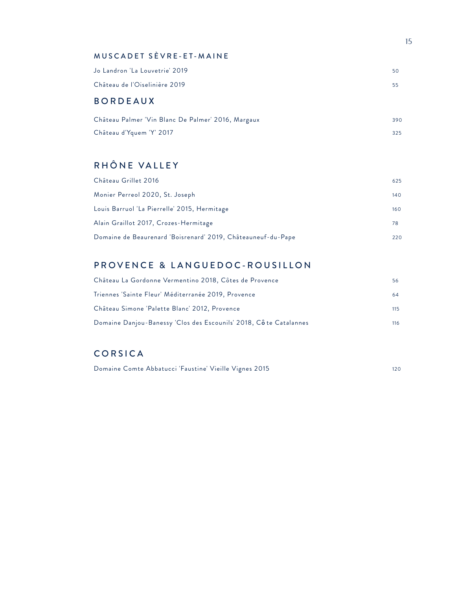#### MUSCADET SÈVRE-ET-MAINE

| Jo Landron 'La Louvetrie' 2019 . | 50  |
|----------------------------------|-----|
| Château de l'Oiselinière 2019    | 55. |

### BORDEAUX

| Château Palmer 'Vin Blanc De Palmer' 2016, Margaux | 390 |
|----------------------------------------------------|-----|
| Château d'Yquem 'Y' 2017                           | 325 |

### RHÔNE VALLEY

| Château Grillet 2016                                         | 625 |
|--------------------------------------------------------------|-----|
| Monier Perreol 2020, St. Joseph                              | 140 |
| Louis Barruol 'La Pierrelle' 2015, Hermitage                 | 160 |
| Alain Graillot 2017, Crozes-Hermitage                        | 78  |
| Domaine de Beaurenard 'Boisrenard' 2019, Châteauneuf-du-Pape | 220 |

### PROVENCE & LANGUEDOC-ROUSILLON

| Château La Gordonne Vermentino 2018, Côtes de Provence             | 56  |
|--------------------------------------------------------------------|-----|
| Triennes 'Sainte Fleur' Méditerranée 2019, Provence                | 64  |
| Château Simone 'Palette Blanc' 2012, Provence                      | 115 |
| Domaine Danjou-Banessy 'Clos des Escounils' 2018, Cô te Catalannes | 116 |

### CORSICA

Domaine Comte Abbatucci 'Faustine' Vieille Vignes 2015 120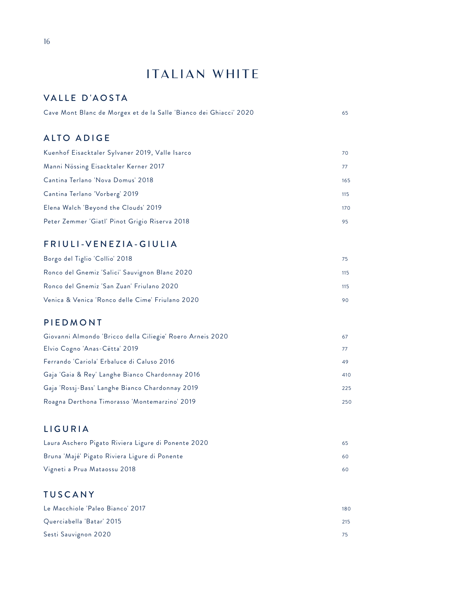## ITALIAN WHITE

### VALLE D'AOSTA

| Cave Mont Blanc de Morgex et de la Salle 'Bianco dei Ghiacci' 2020 |  |
|--------------------------------------------------------------------|--|
|                                                                    |  |
|                                                                    |  |

### ALTO ADIGE

| Kuenhof Eisacktaler Sylvaner 2019, Valle Isarco | 70  |
|-------------------------------------------------|-----|
| Manni Nössing Eisacktaler Kerner 2017           | 77  |
| Cantina Terlano 'Nova Domus' 2018               | 165 |
| Cantina Terlano 'Vorberg' 2019                  | 115 |
| Elena Walch 'Beyond the Clouds' 2019            | 170 |
| Peter Zemmer 'Giatl' Pinot Grigio Riserva 2018  | 95  |

### FRIULI-VENEZIA-GIULIA

| Borgo del Tiglio 'Collio' 2018                   | 75. |
|--------------------------------------------------|-----|
| Ronco del Gnemiz 'Salici' Sauvignon Blanc 2020   | 115 |
| Ronco del Gnemiz 'San Zuan' Friulano 2020        | 115 |
| Venica & Venica 'Ronco delle Cime' Friulano 2020 | 90  |

#### PIEDMONT

| Giovanni Almondo 'Bricco della Ciliegie' Roero Arneis 2020 | 67  |
|------------------------------------------------------------|-----|
| Elvio Cogno 'Anas-Cëtta' 2019                              |     |
| Ferrando 'Cariola' Erbaluce di Caluso 2016                 | 49  |
| Gaja 'Gaia & Rey' Langhe Bianco Chardonnay 2016            | 410 |
| Gaja 'Rossj-Bass' Langhe Bianco Chardonnay 2019            | 225 |
| Roagna Derthona Timorasso 'Montemarzino' 2019              | 250 |

### LIGURIA

| Laura Aschero Pigato Riviera Ligure di Ponente 2020 | 65. |
|-----------------------------------------------------|-----|
| Bruna 'Majé' Pigato Riviera Ligure di Ponente       | 60. |
| Vigneti a Prua Mataossu 2018                        | 60. |

### TUSCANY

| Le Macchiole 'Paleo Bianco' 2017 | 180 |
|----------------------------------|-----|
| Querciabella 'Batar' 2015        | 215 |
| Sesti Sauvignon 2020             |     |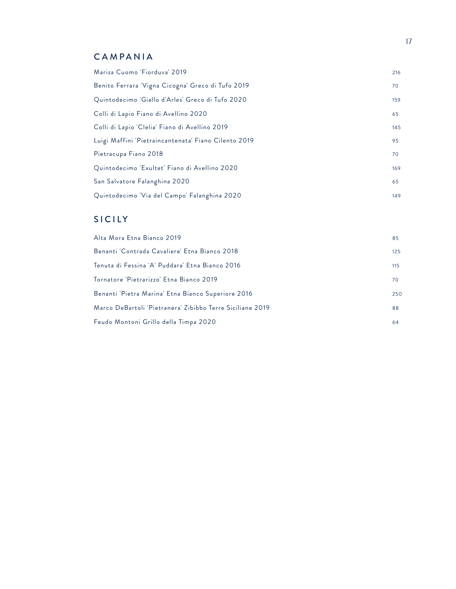### CAMPANIA

| Marisa Cuomo 'Fiorduva' 2019                         | 216 |
|------------------------------------------------------|-----|
| Benito Ferrara 'Vigna Cicogna' Greco di Tufo 2019    | 70  |
| Quintodecimo 'Giallo d'Arles' Greco di Tufo 2020     | 159 |
| Colli di Lapio Fiano di Avellino 2020                | 65  |
| Colli di Lapio 'Clelia' Fiano di Avellino 2019       | 145 |
| Luigi Maffini 'Pietraincantenata' Fiano Cilento 2019 | 95  |
| Pietracupa Fiano 2018                                | 70  |
| Quintodecimo 'Exultet' Fiano di Avellino 2020        | 169 |
| San Salvatore Falanghina 2020                        | 65  |
| Quintodecimo 'Via del Campo' Falanghina 2020         | 149 |

### SICILY

| Alta Mora Etna Bianco 2019                                | 85  |
|-----------------------------------------------------------|-----|
| Benanti 'Contrada Cavaliere' Etna Bianco 2018             | 125 |
| Tenuta di Fessina 'A' Puddara' Etna Bianco 2016           | 115 |
| Tornatore 'Pietrarizzo' Etna Bianco 2019                  | 70  |
| Benanti 'Pietra Marina' Etna Bianco Superiore 2016        | 250 |
| Marco DeBartoli 'Pietranera' Zibibbo Terre Siciliane 2019 | 88  |
| Feudo Montoni Grillo della Timpa 2020                     | 64  |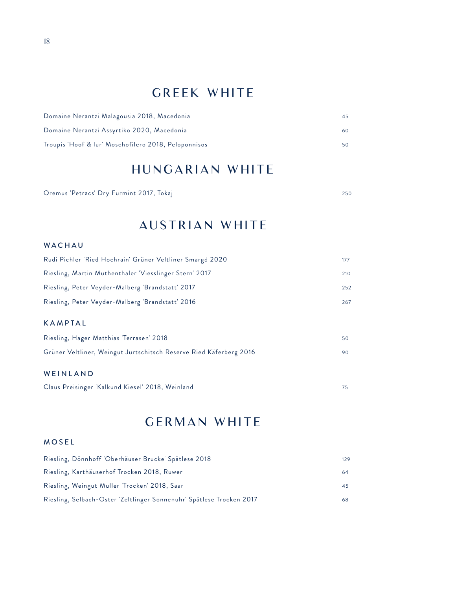## GREEK WHITE

| Domaine Nerantzi Malagousia 2018, Macedonia          | 45 |
|------------------------------------------------------|----|
| Domaine Nerantzi Assyrtiko 2020, Macedonia           | 60 |
| Troupis 'Hoof & lur' Moschofilero 2018, Peloponnisos | 50 |

## HUNGARIAN WHITE

Oremus 'Petracs' Dry Furmint 2017, Tokaj 250

## AUSTRIAN WHITE

#### WACHAU

| Rudi Pichler 'Ried Hochrain' Grüner Veltliner Smargd 2020          | 177 |
|--------------------------------------------------------------------|-----|
| Riesling, Martin Muthenthaler 'Viesslinger Stern' 2017             | 210 |
| Riesling, Peter Veyder-Malberg 'Brandstatt' 2017                   | 252 |
| Riesling, Peter Veyder-Malberg 'Brandstatt' 2016                   |     |
| <b>KAMPTAL</b>                                                     |     |
| Riesling, Hager Matthias 'Terrasen' 2018                           | 50  |
| Grüner Veltliner, Weingut Jurtschitsch Reserve Ried Käferberg 2016 |     |
|                                                                    |     |

#### WEINLAND

| Claus Preisinger 'Kalkund Kiesel' 2018, Weinland |  |  |
|--------------------------------------------------|--|--|
|--------------------------------------------------|--|--|

## GERMAN WHITE

#### MOSEL

| Riesling, Dönnhoff 'Oberhäuser Brucke' Spätlese 2018                 | 129 |
|----------------------------------------------------------------------|-----|
| Riesling, Karthäuserhof Trocken 2018, Ruwer                          | 64  |
| Riesling, Weingut Muller 'Trocken' 2018, Saar                        | 45  |
| Riesling, Selbach-Oster 'Zeltlinger Sonnenuhr' Spätlese Trocken 2017 | 68  |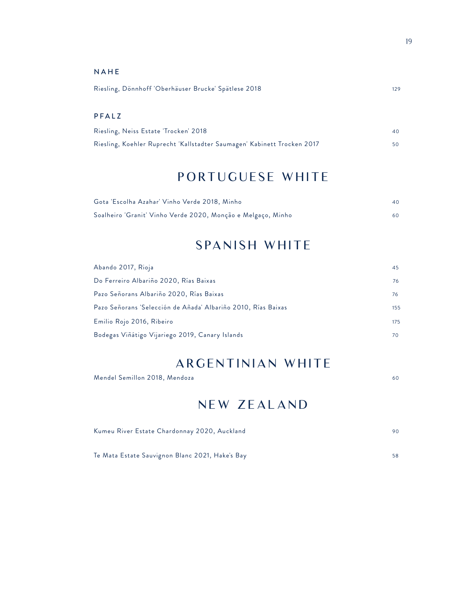#### NAHE

| Riesling, Dönnhoff 'Oberhäuser Brucke' Spätlese 2018 | 129 |
|------------------------------------------------------|-----|
|                                                      |     |

#### PFALZ

| Riesling, Neiss Estate 'Trocken' 2018                                   |  |
|-------------------------------------------------------------------------|--|
| Riesling, Koehler Ruprecht 'Kallstadter Saumagen' Kabinett Trocken 2017 |  |

## PORTUGUESE WHITE

| Gota 'Escolha Azahar' Vinho Verde 2018, Minho                | 40  |
|--------------------------------------------------------------|-----|
| Soalheiro 'Granit' Vinho Verde 2020, Monção e Melgaço, Minho | 60. |

## SPANISH WHITE

| Abando 2017, Rioja                                            | 45  |
|---------------------------------------------------------------|-----|
| Do Ferreiro Albariño 2020, Rías Baixas                        | 76  |
| Pazo Señorans Albariño 2020, Rías Baixas                      | 76  |
| Pazo Señorans 'Selección de Añada' Albariño 2010, Rías Baixas | 155 |
| Emilio Rojo 2016, Ribeiro                                     | 175 |
| Bodegas Viñátigo Vijariego 2019, Canary Islands               | 70  |

## ARGENTINIAN WHITE

| NEW ZEALAND                                     |    |
|-------------------------------------------------|----|
| Kumeu River Estate Chardonnay 2020, Auckland    | 90 |
| Te Mata Estate Sauvignon Blanc 2021, Hake's Bay | 58 |

Mendel Semillon 2018, Mendoza 60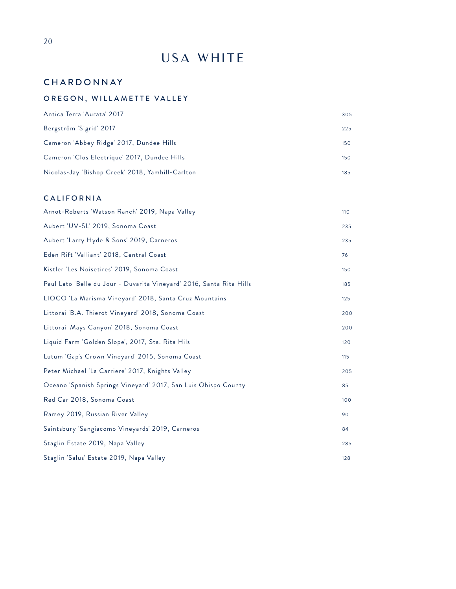## USA WHITE

### **CHARDONNAY**

### OREGON, WILLAMETTE VALLEY

| Antica Terra 'Aurata' 2017                       | 305 |
|--------------------------------------------------|-----|
| Bergström 'Sigrid' 2017                          | 225 |
| Cameron 'Abbey Ridge' 2017, Dundee Hills         | 150 |
| Cameron 'Clos Electrique' 2017, Dundee Hills     | 150 |
| Nicolas-Jay 'Bishop Creek' 2018, Yamhill-Carlton | 185 |

#### CALIFORNIA

| Arnot-Roberts 'Watson Ranch' 2019, Napa Valley                       | 110 |
|----------------------------------------------------------------------|-----|
| Aubert 'UV-SL' 2019, Sonoma Coast                                    | 235 |
| Aubert 'Larry Hyde & Sons' 2019, Carneros                            | 235 |
| Eden Rift 'Valliant' 2018, Central Coast                             | 76  |
| Kistler 'Les Noisetires' 2019, Sonoma Coast                          | 150 |
| Paul Lato 'Belle du Jour - Duvarita Vineyard' 2016, Santa Rita Hills | 185 |
| LIOCO 'La Marisma Vineyard' 2018, Santa Cruz Mountains               | 125 |
| Littorai 'B.A. Thierot Vineyard' 2018, Sonoma Coast                  | 200 |
| Littorai 'Mays Canyon' 2018, Sonoma Coast                            | 200 |
| Liquid Farm 'Golden Slope', 2017, Sta. Rita Hils                     | 120 |
| Lutum 'Gap's Crown Vineyard' 2015, Sonoma Coast                      | 115 |
| Peter Michael 'La Carriere' 2017, Knights Valley                     | 205 |
| Oceano 'Spanish Springs Vineyard' 2017, San Luis Obispo County       | 85  |
| Red Car 2018, Sonoma Coast                                           | 100 |
| Ramey 2019, Russian River Valley                                     | 90  |
| Saintsbury 'Sangiacomo Vineyards' 2019, Carneros                     | 84  |
| Staglin Estate 2019, Napa Valley                                     | 285 |
| Staglin 'Salus' Estate 2019, Napa Valley                             | 128 |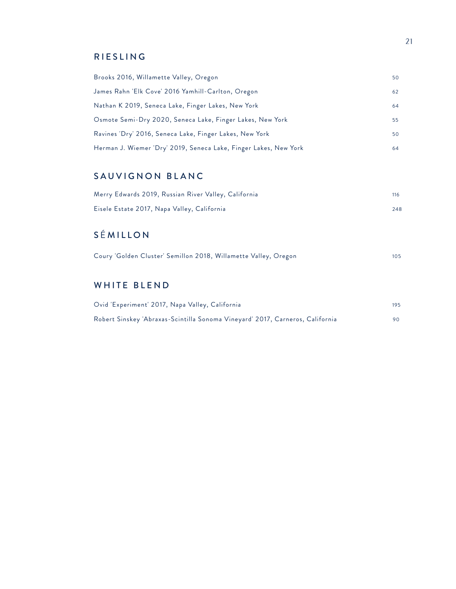### RIESLING

| Brooks 2016, Willamette Valley, Oregon                           | 50 |
|------------------------------------------------------------------|----|
| James Rahn 'Elk Cove' 2016 Yamhill-Carlton, Oregon               | 62 |
| Nathan K 2019, Seneca Lake, Finger Lakes, New York               | 64 |
| Osmote Semi-Dry 2020, Seneca Lake, Finger Lakes, New York        | 55 |
| Ravines 'Dry' 2016, Seneca Lake, Finger Lakes, New York          | 50 |
| Herman J. Wiemer 'Dry' 2019, Seneca Lake, Finger Lakes, New York | 64 |

### SAUVIGNON BLANC

| Merry Edwards 2019, Russian River Valley, California | 116 |
|------------------------------------------------------|-----|
| Eisele Estate 2017, Napa Valley, California          | 248 |

### S É MILLON

| Coury 'Golden Cluster' Semillon 2018, Willamette Valley, Oregon |  | 105 |
|-----------------------------------------------------------------|--|-----|
|-----------------------------------------------------------------|--|-----|

### WHITE BLEND

| Ovid 'Experiment' 2017, Napa Valley, California                               | 195 |
|-------------------------------------------------------------------------------|-----|
| Robert Sinskey 'Abraxas-Scintilla Sonoma Vineyard' 2017, Carneros, California | 90  |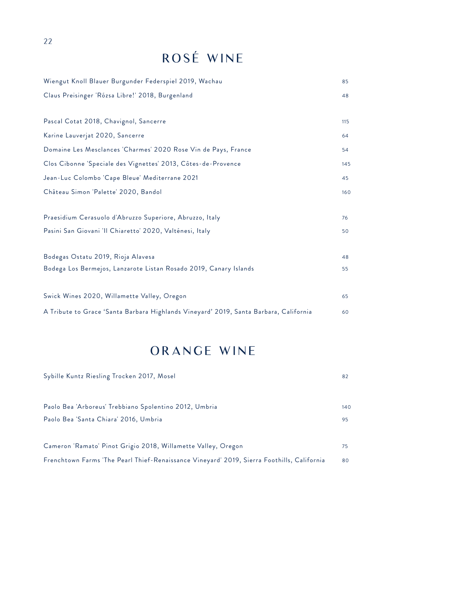## ROSÉ WINE

| Wiengut Knoll Blauer Burgunder Federspiel 2019, Wachau                                | 85  |
|---------------------------------------------------------------------------------------|-----|
| Claus Preisinger 'Rózsa Libre!' 2018, Burgenland                                      | 48  |
|                                                                                       |     |
| Pascal Cotat 2018, Chavignol, Sancerre                                                | 115 |
| Karine Lauverjat 2020, Sancerre                                                       | 64  |
| Domaine Les Mesclances 'Charmes' 2020 Rose Vin de Pays, France                        | 54  |
| Clos Cibonne 'Speciale des Vignettes' 2013, Côtes-de-Provence                         | 145 |
| Jean-Luc Colombo 'Cape Bleue' Mediterrane 2021                                        | 45  |
| Château Simon 'Palette' 2020, Bandol                                                  | 160 |
|                                                                                       |     |
| Praesidium Cerasuolo d'Abruzzo Superiore, Abruzzo, Italy                              | 76  |
| Pasini San Giovani 'Il Chiaretto' 2020, Valténesi, Italy                              | 50  |
|                                                                                       |     |
| Bodegas Ostatu 2019, Rioja Alavesa                                                    | 48  |
| Bodega Los Bermejos, Lanzarote Listan Rosado 2019, Canary Islands                     | 55  |
|                                                                                       |     |
| Swick Wines 2020, Willamette Valley, Oregon                                           | 65  |
| A Tribute to Grace 'Santa Barbara Highlands Vineyard' 2019, Santa Barbara, California | 60  |

## ORANGE WINE

| Sybille Kuntz Riesling Trocken 2017, Mosel                                                 | 82  |
|--------------------------------------------------------------------------------------------|-----|
|                                                                                            |     |
| Paolo Bea 'Arboreus' Trebbiano Spolentino 2012, Umbria                                     | 140 |
| Paolo Bea 'Santa Chiara' 2016, Umbria                                                      | 95  |
|                                                                                            |     |
| Cameron 'Ramato' Pinot Grigio 2018, Willamette Valley, Oregon                              | 75  |
| Frenchtown Farms 'The Pearl Thief-Renaissance Vineyard' 2019, Sierra Foothills, California | 80  |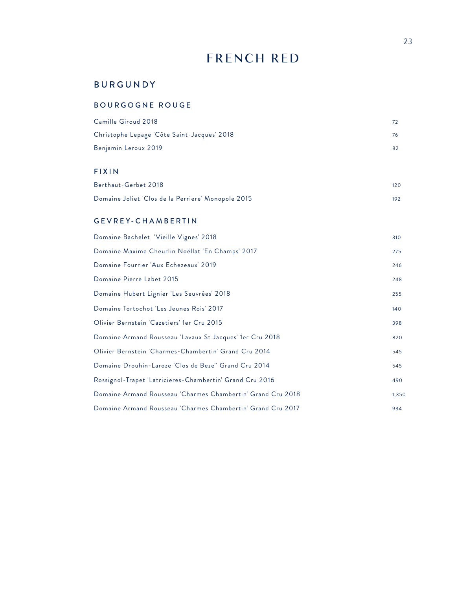## FRENCH RED

### BURGUNDY

#### BOURGOGNE ROUGE

| Camille Giroud 2018                         | 72 |
|---------------------------------------------|----|
| Christophe Lepage 'Côte Saint-Jacques' 2018 | 76 |
| Benjamin Leroux 2019                        |    |

### FIXIN

| Berthaut-Gerbet 2018                               | 120 |
|----------------------------------------------------|-----|
| Domaine Joliet 'Clos de la Perriere' Monopole 2015 | 192 |

#### GEVREY-CHAMBERTIN

| Domaine Bachelet 'Vieille Vignes' 2018                      | 310   |
|-------------------------------------------------------------|-------|
| Domaine Maxime Cheurlin Noëllat 'En Champs' 2017            | 275   |
| Domaine Fourrier 'Aux Echezeaux' 2019                       | 246   |
| Domaine Pierre Labet 2015                                   | 248   |
| Domaine Hubert Lignier 'Les Seuvrées' 2018                  | 255   |
| Domaine Tortochot 'Les Jeunes Rois' 2017                    | 140   |
| Olivier Bernstein 'Cazetiers' 1er Cru 2015                  | 398   |
| Domaine Armand Rousseau 'Lavaux St Jacques' 1er Cru 2018    | 820   |
| Olivier Bernstein 'Charmes-Chambertin' Grand Cru 2014       | 545   |
| Domaine Drouhin-Laroze 'Clos de Beze'' Grand Cru 2014       | 545   |
| Rossignol-Trapet 'Latricieres-Chambertin' Grand Cru 2016    | 490   |
| Domaine Armand Rousseau 'Charmes Chambertin' Grand Cru 2018 | 1,350 |
| Domaine Armand Rousseau 'Charmes Chambertin' Grand Cru 2017 | 934   |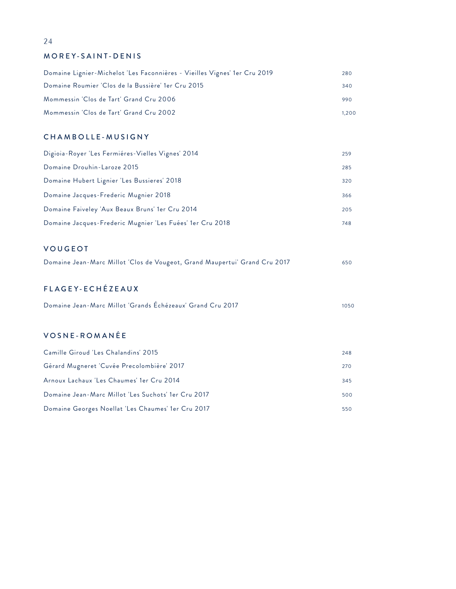#### MOREY-SAINT-DENIS

| Domaine Lignier-Michelot 'Les Faconnières - Vieilles Vignes' 1er Cru 2019 | 280   |
|---------------------------------------------------------------------------|-------|
| Domaine Roumier 'Clos de la Bussière' 1er Cru 2015                        | 340   |
| Mommessin 'Clos de Tart' Grand Cru 2006                                   | 990   |
| Mommessin 'Clos de Tart' Grand Cru 2002                                   | 1.200 |

#### CHAMBOLLE-MUSIGNY

| Digioia-Royer 'Les Fermières-Vielles Vignes' 2014         | 259 |
|-----------------------------------------------------------|-----|
| Domaine Drouhin-Laroze 2015                               | 285 |
| Domaine Hubert Lignier 'Les Bussieres' 2018               | 320 |
| Domaine Jacques-Frederic Mugnier 2018                     | 366 |
| Domaine Faiveley 'Aux Beaux Bruns' 1er Cru 2014           | 205 |
| Domaine Jacques-Frederic Mugnier 'Les Fuées' 1er Cru 2018 | 748 |

#### VOUGEOT

| Domaine Jean-Marc Millot 'Clos de Vougeot, Grand Maupertui' Grand Cru 2017 | 650 |
|----------------------------------------------------------------------------|-----|
|----------------------------------------------------------------------------|-----|

#### FL AGEY-ECHÉZEAUX

| Domaine Jean-Marc Millot 'Grands Echézeaux' Grand Cru 2017 |  | 1050 |
|------------------------------------------------------------|--|------|

#### VOSNE-ROMANÉE

| Camille Giroud 'Les Chalandins' 2015                | 248 |
|-----------------------------------------------------|-----|
| Gérard Mugneret 'Cuvée Precolombière' 2017          | 270 |
| Arnoux Lachaux 'Les Chaumes' 1er Cru 2014           | 345 |
| Domaine Jean-Marc Millot 'Les Suchots' 1er Cru 2017 | 500 |
| Domaine Georges Noellat 'Les Chaumes' 1er Cru 2017  | 550 |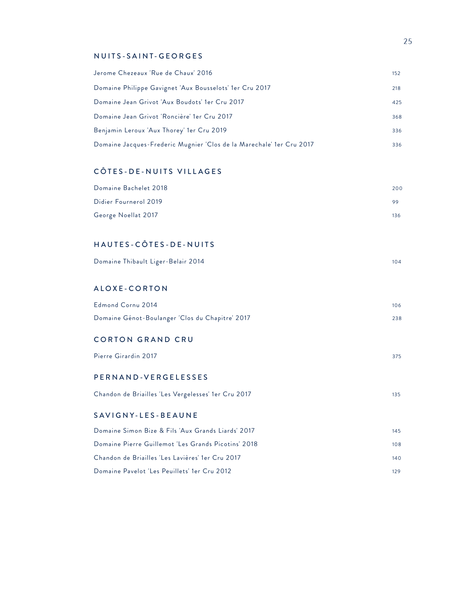#### NUITS-SAINT-GEORGES

| Jerome Chezeaux 'Rue de Chaux' 2016                                  | 152 |
|----------------------------------------------------------------------|-----|
| Domaine Philippe Gavignet 'Aux Bousselots' 1er Cru 2017              | 218 |
| Domaine Jean Grivot 'Aux Boudots' 1er Cru 2017                       | 425 |
| Domaine Jean Grivot 'Roncière' 1er Cru 2017                          | 368 |
| Benjamin Leroux 'Aux Thorey' 1er Cru 2019                            | 336 |
| Domaine Jacques-Frederic Mugnier 'Clos de la Marechale' 1er Cru 2017 | 336 |

#### C Ô TES-DE-NUITS VILLAGES

| Domaine Bachelet 2018 | 200 |
|-----------------------|-----|
| Didier Fournerol 2019 | 99  |
| George Noellat 2017   | 136 |

#### HAUTES-C Ô TES-DE-NUITS

| Domaine Thibault Liger-Belair 2014 |  |
|------------------------------------|--|
|------------------------------------|--|

#### ALOXE-CORTON

| Edmond Cornu 2014                               | 106 |
|-------------------------------------------------|-----|
| Domaine Génot-Boulanger 'Clos du Chapitre' 2017 | 238 |

#### CORTON GRAND CRU

| Pierre Girardin 2017 |  | 375 |
|----------------------|--|-----|
|                      |  |     |

#### PERNAND-VERGELESSES

| Chandon de Briailles 'Les Vergelesses' 1er Cru 2017 |  |  |
|-----------------------------------------------------|--|--|
|-----------------------------------------------------|--|--|

#### SAVIGNY-LES-BEAUNE

| Domaine Simon Bize & Fils 'Aux Grands Liards' 2017  | 145  |
|-----------------------------------------------------|------|
| Domaine Pierre Guillemot 'Les Grands Picotins' 2018 | 108  |
| Chandon de Briailles 'Les Lavières' 1er Cru 2017    | 140  |
| Domaine Pavelot 'Les Peuillets' 1er Cru 2012        | 129. |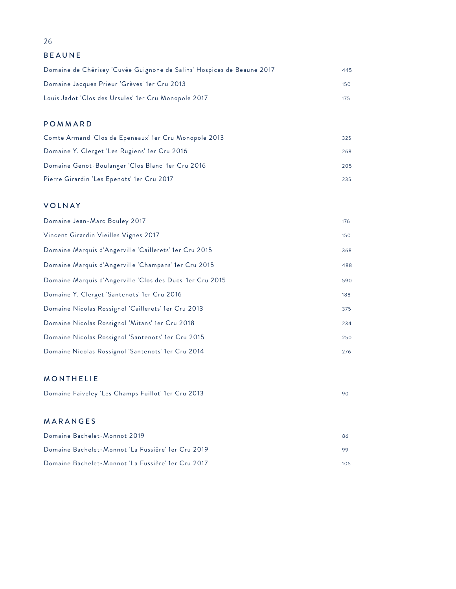BEAUNE

| Domaine de Chérisey 'Cuvée Guignone de Salins' Hospices de Beaune 2017 | 445  |
|------------------------------------------------------------------------|------|
| Domaine Jacques Prieur 'Grèves' 1er Cru 2013                           | 15 O |
| Louis Jadot 'Clos des Ursules' 1er Cru Monopole 2017                   | 175  |

### POMMARD

| Comte Armand 'Clos de Epeneaux' 1er Cru Monopole 2013 | 325 |
|-------------------------------------------------------|-----|
| Domaine Y. Clerget 'Les Rugiens' 1er Cru 2016         | 268 |
| Domaine Genot-Boulanger 'Clos Blanc' 1er Cru 2016     | 205 |
| Pierre Girardin 'Les Epenots' 1er Cru 2017            | 235 |

#### VOLNAY

| Domaine Jean-Marc Bouley 2017                             | 176 |
|-----------------------------------------------------------|-----|
| Vincent Girardin Vieilles Vignes 2017                     | 150 |
| Domaine Marquis d'Angerville 'Caillerets' 1er Cru 2015    | 368 |
| Domaine Marquis d'Angerville 'Champans' 1er Cru 2015      | 488 |
| Domaine Marquis d'Angerville 'Clos des Ducs' 1er Cru 2015 | 590 |
| Domaine Y. Clerget 'Santenots' 1er Cru 2016               | 188 |
| Domaine Nicolas Rossignol 'Caillerets' 1er Cru 2013       | 375 |
| Domaine Nicolas Rossignol 'Mitans' 1er Cru 2018           | 234 |
| Domaine Nicolas Rossignol 'Santenots' 1er Cru 2015        | 250 |
| Domaine Nicolas Rossignol 'Santenots' 1er Cru 2014        | 276 |

### MONTHELIE

|  | Domaine Faiveley 'Les Champs Fuillot' 1er Cru 2013 |  |  |
|--|----------------------------------------------------|--|--|
|--|----------------------------------------------------|--|--|

#### MARANGES

| Domaine Bachelet-Monnot 2019                       | 86      |
|----------------------------------------------------|---------|
| Domaine Bachelet-Monnot 'La Fussière' 1er Cru 2019 |         |
| Domaine Bachelet-Monnot 'La Fussière' 1er Cru 2017 | $105 -$ |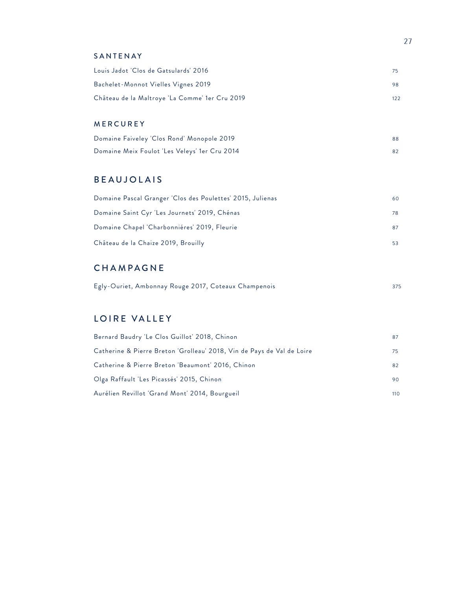#### SANTENAY

| Louis Jadot 'Clos de Gatsulards' 2016          | 75  |
|------------------------------------------------|-----|
| Bachelet-Monnot Vielles Vignes 2019            | 98  |
| Château de la Maltroye 'La Comme' 1er Cru 2019 | 122 |

#### MERCUREY

| Domaine Faiveley 'Clos Rond' Monopole 2019    | 88 |
|-----------------------------------------------|----|
| Domaine Meix Foulot 'Les Veleys' 1er Cru 2014 |    |

### BEAUJOLAIS

| Domaine Pascal Granger 'Clos des Poulettes' 2015, Julienas | 60. |
|------------------------------------------------------------|-----|
| Domaine Saint Cyr 'Les Journets' 2019, Chénas              | 78  |
| Domaine Chapel 'Charbonniéres' 2019, Fleurie               |     |
| Château de la Chaize 2019, Brouilly                        | 53  |

### CHAMPAGNE

|  |  | Egly-Ouriet, Ambonnay Rouge 2017, Coteaux Champenois |  |  |  |  |
|--|--|------------------------------------------------------|--|--|--|--|
|--|--|------------------------------------------------------|--|--|--|--|

### LOIRE VALLEY

| Bernard Baudry 'Le Clos Guillot' 2018, Chinon                          | 87  |
|------------------------------------------------------------------------|-----|
| Catherine & Pierre Breton 'Grolleau' 2018, Vin de Pays de Val de Loire | 75. |
| Catherine & Pierre Breton 'Beaumont' 2016, Chinon                      | 82  |
| Olga Raffault 'Les Picassés' 2015, Chinon                              | 90  |
| Aurélien Revillot 'Grand Mont' 2014, Bourgueil                         | 110 |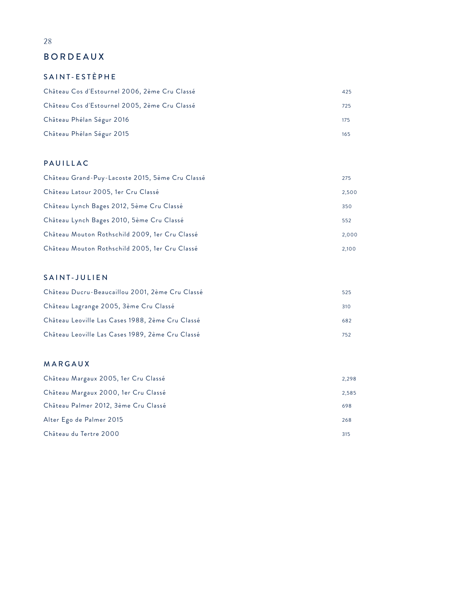### BORDEAUX

### SAINT-ESTÈPHE

| Château Cos d'Estournel 2006, 2ème Cru Classé | 425 |
|-----------------------------------------------|-----|
| Château Cos d'Estournel 2005, 2ème Cru Classé | 725 |
| Château Phélan Ségur 2016                     | 175 |
| Château Phélan Ségur 2015                     | 165 |

#### PAUILLAC

| Château Grand-Puy-Lacoste 2015, 5ème Cru Classé | 275   |
|-------------------------------------------------|-------|
| Château Latour 2005, 1er Cru Classé             | 2,500 |
| Château Lynch Bages 2012, 5ème Cru Classé       | 350   |
| Château Lynch Bages 2010, 5ème Cru Classé       | 552   |
| Château Mouton Rothschild 2009, 1er Cru Classé  | 2,000 |
| Château Mouton Rothschild 2005, 1er Cru Classé  | 2,100 |

#### SAINT-JULIEN

| Château Ducru-Beaucaillou 2001, 2ème Cru Classé  | 525 |
|--------------------------------------------------|-----|
| Château Lagrange 2005, 3ème Cru Classé           | 310 |
| Château Leoville Las Cases 1988, 2ème Cru Classé | 682 |
| Château Leoville Las Cases 1989, 2ème Cru Classé | 752 |

#### MARGAUX

| Château Margaux 2005, 1er Cru Classé | 2,298 |
|--------------------------------------|-------|
| Château Margaux 2000, 1er Cru Classé | 2,585 |
| Château Palmer 2012, 3ème Cru Classé | 698   |
| Alter Ego de Palmer 2015             | 268   |
| Château du Tertre 2000               | 315   |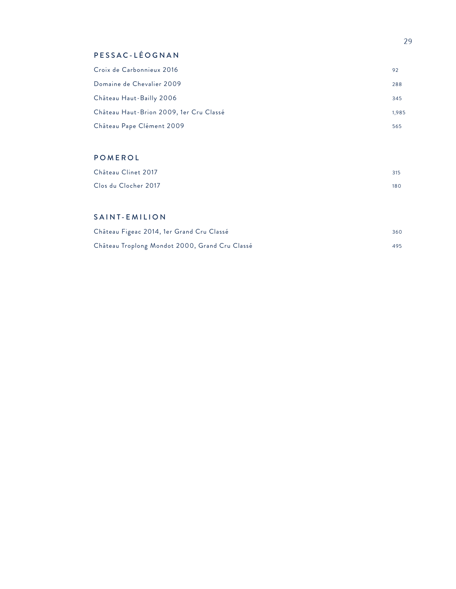### PESSAC-LÉOGNAN

| Croix de Carbonnieux 2016               | 92    |
|-----------------------------------------|-------|
| Domaine de Chevalier 2009               | 288   |
| Château Haut-Bailly 2006                | 345   |
| Château Haut-Brion 2009, 1er Cru Classé | 1.985 |
| Château Pape Clément 2009               | 565   |

### POMEROL

| Château Clinet 2017  | 315 |
|----------------------|-----|
| Clos du Clocher 2017 | 180 |

#### SAINT-EMILION

| Château Figeac 2014, 1er Grand Cru Classé      | 360 |
|------------------------------------------------|-----|
| Château Troplong Mondot 2000, Grand Cru Classé | 495 |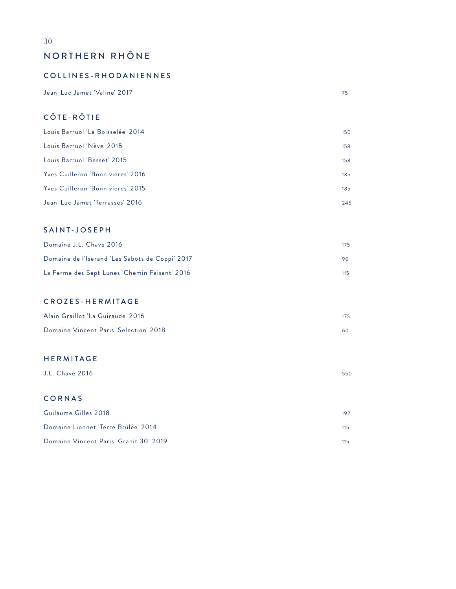### NORTHERN RHÔNE

#### COLLINES-RHODANIENNES

Jean-Luc Jamet 'Valine' 2017 75

### CÔTE-RÔTIE

| Louis Barruol 'La Boisselée' 2014 | 150 |
|-----------------------------------|-----|
| Louis Barruol 'Nève' 2015         | 158 |
| Louis Barruol 'Besset' 2015       | 158 |
| Yves Cuilleron 'Bonnivieres' 2016 | 185 |
| Yves Cuilleron 'Bonnivieres' 2015 | 185 |
| Jean-Luc Jamet 'Terrasses' 2016   | 245 |

#### SAINT-JOSEPH

| Domaine J.L. Chave 2016                         | 175 |
|-------------------------------------------------|-----|
| Domaine de l'Iserand 'Les Sabots de Coppi' 2017 | 90. |
| La Ferme des Sept Lunes 'Chemin Faisant' 2016   | 115 |

#### CROZES-HERMITAGE

| Alain Graillot 'La Guiraude' 2016      | 175 |
|----------------------------------------|-----|
| Domaine Vincent Paris 'Selection' 2018 |     |

#### HERMITAGE

| J.L. Chave 2016 | 550 |
|-----------------|-----|
|                 |     |

#### CORNAS

| Guilaume Gilles 2018                   | 192 |
|----------------------------------------|-----|
| Domaine Lionnet 'Terre Brûlée' 2014    | 115 |
| Domaine Vincent Paris 'Granit 30' 2019 |     |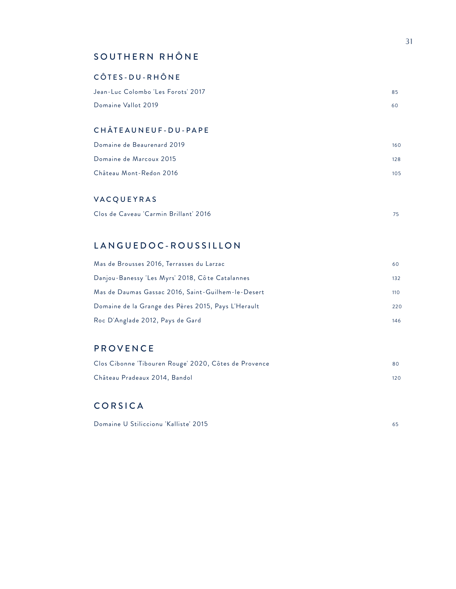### SOUTHERN RHÔNE

#### CÔTES-DU-RHÔNE

| Jean-Luc Colombo 'Les Forots' 2017 | 85 |
|------------------------------------|----|
| Domaine Vallot 2019                | 60 |

#### CHÂTEAUNEUF-DU-PAPE

| Domaine de Beaurenard 2019 | 160 |
|----------------------------|-----|
| Domaine de Marcoux 2015    | 128 |
| Château Mont-Redon 2016    | 105 |

#### VACQUEYRAS

| Clos de Caveau 'Carmin Brillant' 2016 |  |
|---------------------------------------|--|
|---------------------------------------|--|

### LANGUEDOC-ROUSSILLON

| Mas de Brousses 2016, Terrasses du Larzac           | 60  |
|-----------------------------------------------------|-----|
| Danjou-Banessy 'Les Myrs' 2018, Côte Catalannes     | 132 |
| Mas de Daumas Gassac 2016, Saint-Guilhem-le-Desert  | 110 |
| Domaine de la Grange des Pères 2015, Pays L'Herault | 220 |
| Roc D'Anglade 2012, Pays de Gard                    | 146 |

### PROVENCE

| Clos Cibonne Tibouren Rouge' 2020, Côtes de Provence | 80. |
|------------------------------------------------------|-----|
| Château Pradeaux 2014, Bandol                        | 120 |

### CORSICA

| Domaine U Stiliccionu 'Kalliste' 2015 |  |
|---------------------------------------|--|
|---------------------------------------|--|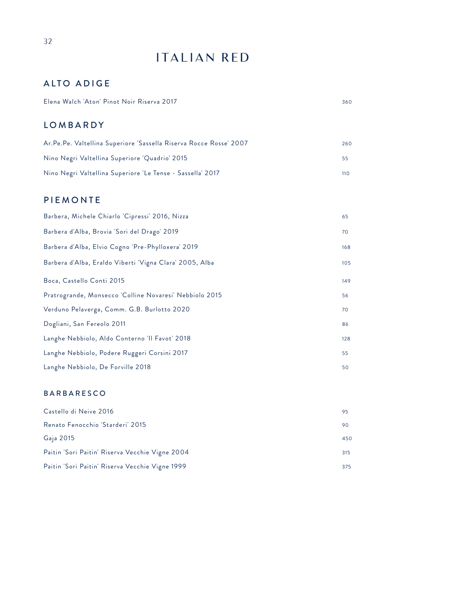## ITALIAN RED

### ALTO ADIGE

| Elena Walch 'Aton' Pinot Noir Riserva 2017 |  |
|--------------------------------------------|--|
|--------------------------------------------|--|

#### LOMBARDY

| Ar.Pe.Pe. Valtellina Superiore 'Sassella Riserva Rocce Rosse' 2007 | 260 |
|--------------------------------------------------------------------|-----|
| Nino Negri Valtellina Superiore 'Quadrio' 2015                     | 55  |
| Nino Negri Valtellina Superiore 'Le Tense - Sassella' 2017         | 110 |

### PIEMONTE

| 65  |
|-----|
| 70  |
| 168 |
| 105 |
| 149 |
| 56  |
| 70  |
| 86  |
| 128 |
| 55  |
| 50  |
|     |

#### BARBARESCO

| Castello di Neive 2016                          | 95  |
|-------------------------------------------------|-----|
| Renato Fenocchio 'Starderi' 2015                | 90  |
| Gaja 2015                                       | 450 |
| Paitin 'Sori Paitin' Riserva Vecchie Vigne 2004 | 315 |
| Paitin 'Sori Paitin' Riserva Vecchie Vigne 1999 | 375 |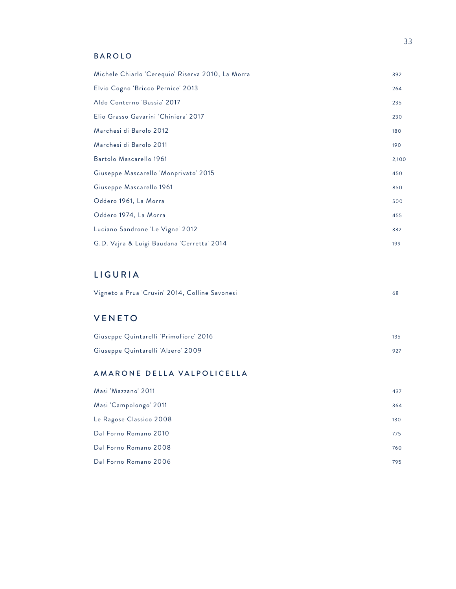#### BAROLO

| Michele Chiarlo 'Cerequio' Riserva 2010, La Morra | 392   |
|---------------------------------------------------|-------|
| Elvio Cogno 'Bricco Pernice' 2013                 | 264   |
| Aldo Conterno 'Bussia' 2017                       | 235   |
| Elio Grasso Gavarini 'Chiniera' 2017              | 230   |
| Marchesi di Barolo 2012                           | 180   |
| Marchesi di Barolo 2011                           | 190   |
| Bartolo Mascarello 1961                           | 2,100 |
| Giuseppe Mascarello 'Monprivato' 2015             | 450   |
| Giuseppe Mascarello 1961                          | 850   |
| Oddero 1961, La Morra                             | 500   |
| Oddero 1974, La Morra                             | 455   |
| Luciano Sandrone 'Le Vigne' 2012                  | 332   |
| G.D. Vajra & Luigi Baudana 'Cerretta' 2014        | 199   |

### LIGURIA

### VENETO

| Giuseppe Quintarelli 'Primofiore' 2016 | 135 |
|----------------------------------------|-----|
| Giuseppe Quintarelli 'Alzero' 2009     |     |

### AMARONE DELLA VALPOLICELLA

| Masi 'Mazzano' 2011     | 437 |
|-------------------------|-----|
| Masi 'Campolongo' 2011  | 364 |
| Le Ragose Classico 2008 | 130 |
| Dal Forno Romano 2010   | 775 |
| Dal Forno Romano 2008   | 760 |
| Dal Forno Romano 2006   | 795 |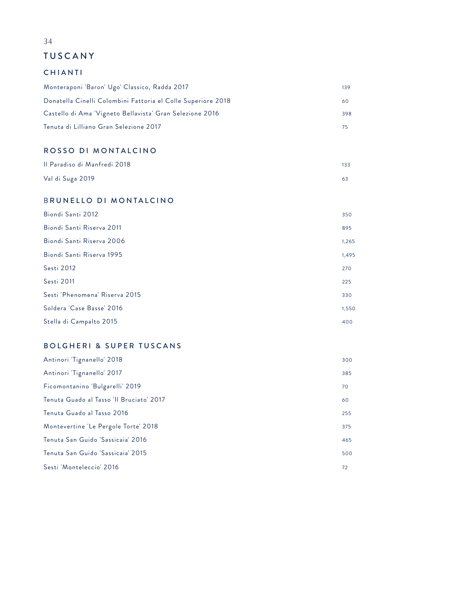### TUSCANY

#### CHIANTI

| Monteraponi 'Baron' Ugo' Classico, Radda 2017                | 139 |
|--------------------------------------------------------------|-----|
| Donatella Cinelli Colombini Fattoria el Colle Superiore 2018 | 60  |
| Castello di Ama 'Vigneto Bellavista' Gran Selezione 2016     | 398 |
| Tenuta di Lilliano Gran Selezione 2017                       |     |

#### ROSSO DI MONTALCINO

| Il Paradiso di Manfredi 2018 | 133 |
|------------------------------|-----|
| Val di Suga 2019             |     |

#### B RUNELLO DI MONTALCINO

| Biondi Santi 2012              | 350   |
|--------------------------------|-------|
| Biondi Santi Riserva 2011      | 895   |
| Biondi Santi Riserva 2006      | 1,265 |
| Biondi Santi Riserva 1995      | 1,495 |
| Sesti 2012                     | 270   |
| Sesti 2011                     | 225   |
| Sesti 'Phenomena' Riserva 2015 | 330   |
| Soldera 'Case Basse' 2016      | 1,550 |
| Stella di Campalto 2015        | 400   |

#### BOLGHERI & SUPER TUSCANS

| Antinori Tignanello' 2018                | 300 |
|------------------------------------------|-----|
| Antinori Tignanello' 2017                | 385 |
| Ficomontanino 'Bulgarelli' 2019          | 70  |
| Tenuta Guado al Tasso 'Il Bruciato' 2017 | 60  |
| Tenuta Guado al Tasso 2016               | 255 |
| Montevertine 'Le Pergole Torte' 2018     | 375 |
| Tenuta San Guido 'Sassicaia' 2016        | 465 |
| Tenuta San Guido 'Sassicaia' 2015        | 500 |
| Sesti 'Monteleccio' 2016                 | 72  |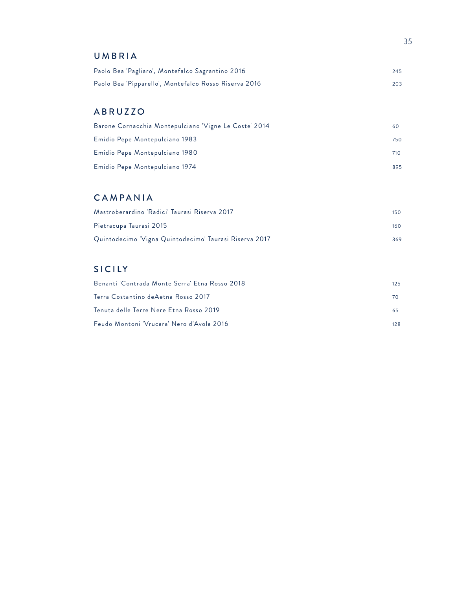#### UMBRIA

| Paolo Bea 'Pagliaro', Montefalco Sagrantino 2016      | 245 |
|-------------------------------------------------------|-----|
| Paolo Bea 'Pipparello', Montefalco Rosso Riserva 2016 | 203 |

### ABRUZZO

| Barone Cornacchia Montepulciano 'Vigne Le Coste' 2014 | 60  |
|-------------------------------------------------------|-----|
| Emidio Pepe Montepulciano 1983                        | 750 |
| Emidio Pepe Montepulciano 1980                        | 710 |
| Emidio Pepe Montepulciano 1974                        | 895 |

### CAMPANIA

| Mastroberardino 'Radici' Taurasi Riserva 2017          | 150 <sub>15</sub> |
|--------------------------------------------------------|-------------------|
| Pietracupa Taurasi 2015                                | $160-$            |
| Quintodecimo 'Vigna Quintodecimo' Taurasi Riserva 2017 | 369               |

### SICILY

| Benanti 'Contrada Monte Serra' Etna Rosso 2018 | 125 |
|------------------------------------------------|-----|
| Terra Costantino deAetna Rosso 2017            | 70. |
| Tenuta delle Terre Nere Etna Rosso 2019        | 65. |
| Feudo Montoni 'Vrucara' Nero d'Avola 2016      | 128 |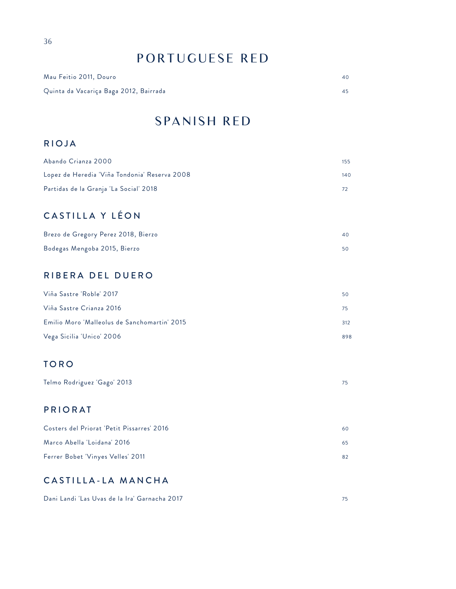## PORTUGUESE RED

| Mau Feitio 2011, Douro                 |  |
|----------------------------------------|--|
| Quinta da Vacariça Baga 2012, Bairrada |  |

## SPANISH RED

#### RIOJA

| Abando Crianza 2000                           | 155 |
|-----------------------------------------------|-----|
| Lopez de Heredia 'Viña Tondonia' Reserva 2008 | 140 |
| Partidas de la Granja 'La Social' 2018        |     |

## CASTILLA Y LÉON

| Brezo de Gregory Perez 2018, Bierzo |  |
|-------------------------------------|--|
| Bodegas Mengoba 2015, Bierzo        |  |

### RIBERA DEL DUERO

| Viña Sastre 'Roble' 2017                     | 50  |
|----------------------------------------------|-----|
| Viña Sastre Crianza 2016                     | 75. |
| Emilio Moro 'Malleolus de Sanchomartin' 2015 | 312 |
| Vega Sicilia 'Unico' 2006                    | 898 |

### TORO

| Telmo Rodriguez 'Gago' 2013 |  |
|-----------------------------|--|
|-----------------------------|--|

### PRIORAT

| Costers del Priorat 'Petit Pissarres' 2016 | 60 |
|--------------------------------------------|----|
| Marco Abella 'Loidana' 2016                | 65 |
| Ferrer Bobet 'Vinyes Velles' 2011          | 82 |

### CASTILLA-LA MANCHA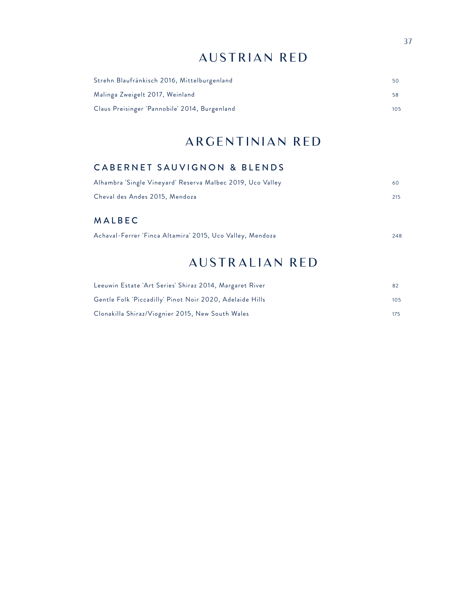## AUSTRIAN RED

| Strehn Blaufränkisch 2016, Mittelburgenland   | 50. |
|-----------------------------------------------|-----|
| Malinga Zweigelt 2017, Weinland               | 58. |
| Claus Preisinger 'Pannobile' 2014, Burgenland | 105 |

## ARGENTINIAN RED

### CABERNET SAUVIGNON & BLENDS

| Alhambra 'Single Vineyard' Reserva Malbec 2019, Uco Valley | 60  |
|------------------------------------------------------------|-----|
| Cheval des Andes 2015, Mendoza                             | 215 |

### MALBEC

| Achaval-Ferrer 'Finca Altamira' 2015, Uco Valley, Mendoza | 248 |
|-----------------------------------------------------------|-----|
|-----------------------------------------------------------|-----|

## AUSTRALIAN RED

| Leeuwin Estate 'Art Series' Shiraz 2014, Margaret River  |     |
|----------------------------------------------------------|-----|
| Gentle Folk 'Piccadilly' Pinot Noir 2020, Adelaide Hills | 105 |
| Clonakilla Shiraz/Viognier 2015, New South Wales         | 175 |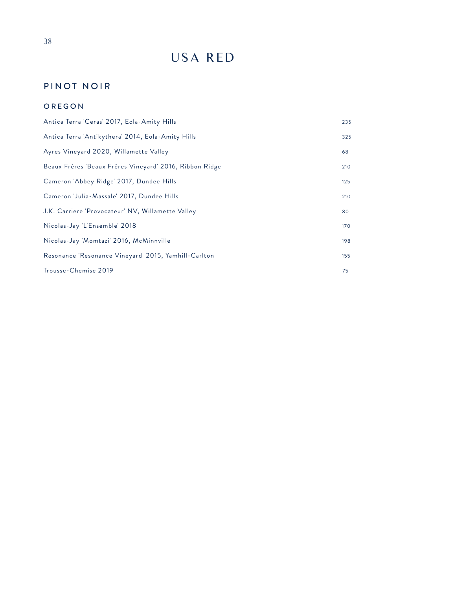## USA RED

### PINOT NOIR

#### OREGON

| Antica Terra 'Ceras' 2017, Eola-Amity Hills             | 235 |
|---------------------------------------------------------|-----|
| Antica Terra 'Antikythera' 2014, Eola-Amity Hills       | 325 |
| Ayres Vineyard 2020, Willamette Valley                  | 68  |
| Beaux Frères 'Beaux Frères Vineyard' 2016, Ribbon Ridge | 210 |
| Cameron 'Abbey Ridge' 2017, Dundee Hills                | 125 |
| Cameron 'Julia-Massale' 2017, Dundee Hills              | 210 |
| J.K. Carriere 'Provocateur' NV, Willamette Valley       | 80  |
| Nicolas-Jay 'L'Ensemble' 2018                           | 170 |
| Nicolas-Jay 'Momtazi' 2016, McMinnville                 | 198 |
| Resonance 'Resonance Vineyard' 2015, Yamhill-Carlton    | 155 |
| Trousse-Chemise 2019                                    | 75  |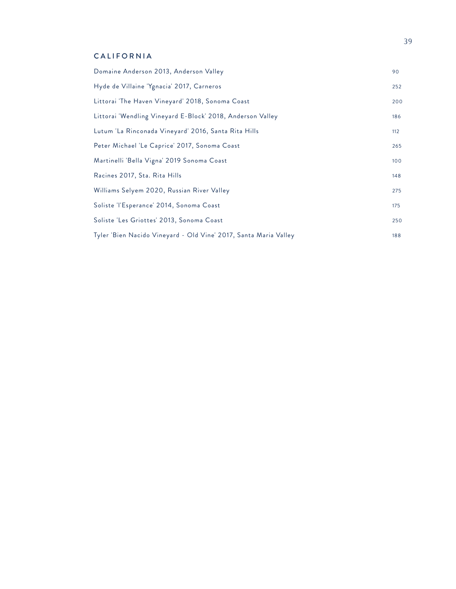#### CALIFORNIA

| Domaine Anderson 2013, Anderson Valley                           | 90  |
|------------------------------------------------------------------|-----|
| Hyde de Villaine 'Ygnacia' 2017, Carneros                        | 252 |
| Littorai 'The Haven Vineyard' 2018, Sonoma Coast                 | 200 |
| Littorai 'Wendling Vineyard E-Block' 2018, Anderson Valley       | 186 |
| Lutum 'La Rinconada Vineyard' 2016, Santa Rita Hills             | 112 |
| Peter Michael 'Le Caprice' 2017, Sonoma Coast                    | 265 |
| Martinelli 'Bella Vigna' 2019 Sonoma Coast                       | 100 |
| Racines 2017, Sta. Rita Hills                                    | 148 |
| Williams Selyem 2020, Russian River Valley                       | 275 |
| Soliste 'l'Esperance' 2014, Sonoma Coast                         | 175 |
| Soliste 'Les Griottes' 2013, Sonoma Coast                        | 250 |
| Tyler 'Bien Nacido Vineyard - Old Vine' 2017, Santa Maria Valley | 188 |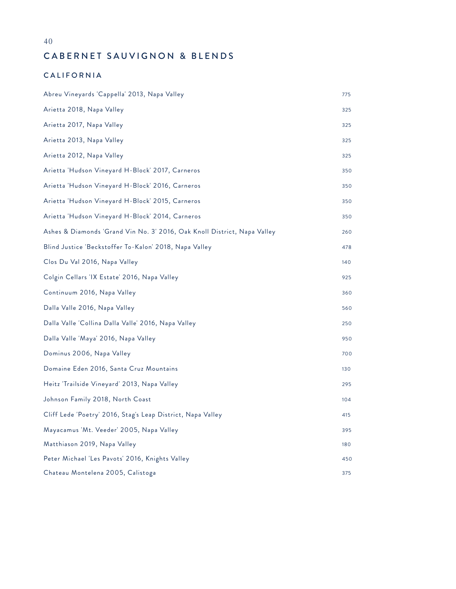40

### CABERNET SAUVIGNON & BLENDS

#### CALIFORNIA

| Abreu Vineyards 'Cappella' 2013, Napa Valley                             | 775 |
|--------------------------------------------------------------------------|-----|
| Arietta 2018, Napa Valley                                                | 325 |
| Arietta 2017, Napa Valley                                                | 325 |
| Arietta 2013, Napa Valley                                                | 325 |
| Arietta 2012, Napa Valley                                                | 325 |
| Arietta 'Hudson Vineyard H-Block' 2017, Carneros                         | 350 |
| Arietta 'Hudson Vineyard H-Block' 2016, Carneros                         | 350 |
| Arietta 'Hudson Vineyard H-Block' 2015, Carneros                         | 350 |
| Arietta 'Hudson Vineyard H-Block' 2014, Carneros                         | 350 |
| Ashes & Diamonds 'Grand Vin No. 3' 2016, Oak Knoll District, Napa Valley | 260 |
| Blind Justice 'Beckstoffer To-Kalon' 2018, Napa Valley                   | 478 |
| Clos Du Val 2016, Napa Valley                                            | 140 |
| Colgin Cellars 'IX Estate' 2016, Napa Valley                             | 925 |
| Continuum 2016, Napa Valley                                              | 360 |
| Dalla Valle 2016, Napa Valley                                            | 560 |
| Dalla Valle 'Collina Dalla Valle' 2016, Napa Valley                      | 250 |
| Dalla Valle 'Maya' 2016, Napa Valley                                     | 950 |
| Dominus 2006, Napa Valley                                                | 700 |
| Domaine Eden 2016, Santa Cruz Mountains                                  | 130 |
| Heitz 'Trailside Vineyard' 2013, Napa Valley                             | 295 |
| Johnson Family 2018, North Coast                                         | 104 |
| Cliff Lede 'Poetry' 2016, Stag's Leap District, Napa Valley              | 415 |
| Mayacamus 'Mt. Veeder' 2005, Napa Valley                                 | 395 |
| Matthiason 2019, Napa Valley                                             | 180 |
| Peter Michael 'Les Pavots' 2016, Knights Valley                          | 450 |
| Chateau Montelena 2005, Calistoga                                        | 375 |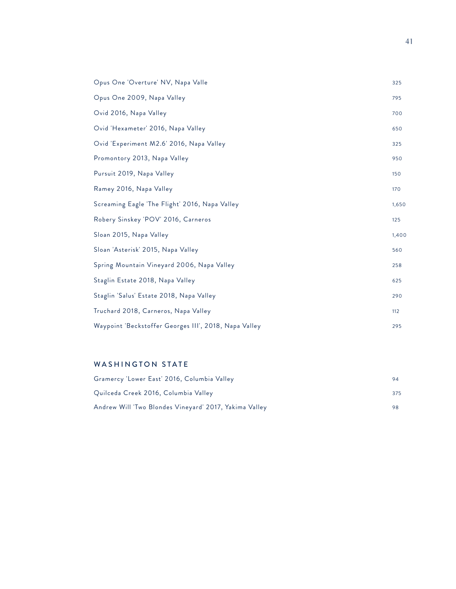| Opus One 'Overture' NV, Napa Valle                    | 325   |
|-------------------------------------------------------|-------|
| Opus One 2009, Napa Valley                            | 795   |
| Ovid 2016, Napa Valley                                | 700   |
| Ovid 'Hexameter' 2016, Napa Valley                    | 650   |
| Ovid 'Experiment M2.6' 2016, Napa Valley              | 325   |
| Promontory 2013, Napa Valley                          | 950   |
| Pursuit 2019, Napa Valley                             | 150   |
| Ramey 2016, Napa Valley                               | 170   |
| Screaming Eagle 'The Flight' 2016, Napa Valley        | 1,650 |
| Robery Sinskey 'POV' 2016, Carneros                   | 125   |
| Sloan 2015, Napa Valley                               | 1,400 |
| Sloan 'Asterisk' 2015, Napa Valley                    | 560   |
| Spring Mountain Vineyard 2006, Napa Valley            | 258   |
| Staglin Estate 2018, Napa Valley                      | 625   |
| Staglin 'Salus' Estate 2018, Napa Valley              | 290   |
| Truchard 2018, Carneros, Napa Valley                  | 112   |
| Waypoint 'Beckstoffer Georges III', 2018, Napa Valley | 295   |

#### WASHINGTON STATE

| Gramercy 'Lower East' 2016, Columbia Valley            | 94  |
|--------------------------------------------------------|-----|
| Quilceda Creek 2016, Columbia Valley                   | 375 |
| Andrew Will 'Two Blondes Vineyard' 2017, Yakima Valley |     |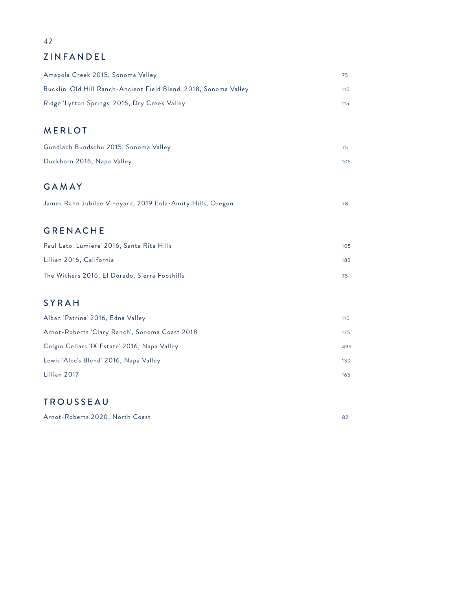### ZINFANDEL

| Amapola Creek 2015, Sonoma Valley                                | 75  |
|------------------------------------------------------------------|-----|
| Bucklin 'Old Hill Ranch-Ancient Field Blend' 2018, Sonoma Valley | 110 |
| Ridge 'Lytton Springs' 2016, Dry Creek Valley                    | 115 |
|                                                                  |     |
| <b>MERLOT</b>                                                    |     |
| Gundlach Bundschu 2015, Sonoma Valley                            | 75  |
| Duckhorn 2016, Napa Valley                                       | 105 |
|                                                                  |     |
| <b>GAMAY</b>                                                     |     |
| James Rahn Jubilee Vineyard, 2019 Eola-Amity Hills, Oregon       | 78  |
|                                                                  |     |
| <b>GRENACHE</b>                                                  |     |
| Paul Lato 'Lumiere' 2016, Santa Rita Hills                       | 105 |
| Lillian 2016, California                                         | 185 |
| The Withers 2016, El Dorado, Sierra Foothills                    | 75  |
|                                                                  |     |
| <b>SYRAH</b>                                                     |     |
| Alban 'Patrina' 2016, Edna Valley                                | 110 |
| Arnot-Roberts 'Clary Ranch', Sonoma Coast 2018                   | 175 |
| Colgin Cellars 'IX Estate' 2016, Napa Valley                     | 495 |
| Lewis 'Alec's Blend' 2016, Napa Valley                           | 130 |
| Lillian 2017                                                     | 165 |
|                                                                  |     |

### TROUSSEAU

Arnot-Roberts 2020, North Coast 82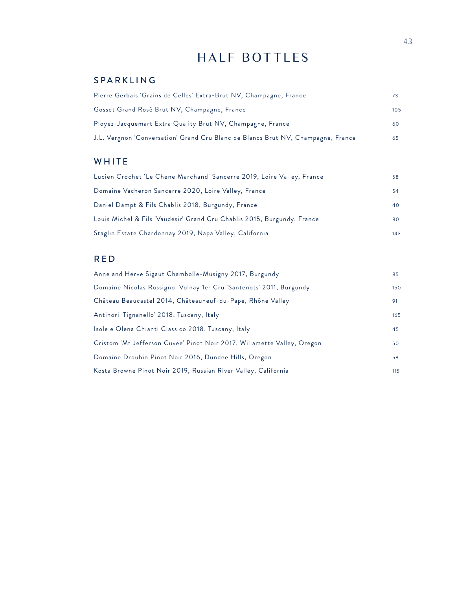## HALF BOTTLES

### SPARKLING

| Pierre Gerbais 'Grains de Celles' Extra-Brut NV, Champagne, France               | 73  |
|----------------------------------------------------------------------------------|-----|
| Gosset Grand Rosé Brut NV, Champagne, France                                     | 105 |
| Ployez-Jacquemart Extra Quality Brut NV, Champagne, France                       | 60  |
| J.L. Vergnon 'Conversation' Grand Cru Blanc de Blancs Brut NV, Champagne, France | 65  |

### WHITE

| Lucien Crochet 'Le Chene Marchand' Sancerre 2019, Loire Valley, France  | 58  |
|-------------------------------------------------------------------------|-----|
| Domaine Vacheron Sancerre 2020, Loire Valley, France                    | 54  |
| Daniel Dampt & Fils Chablis 2018, Burgundy, France                      | 40  |
| Louis Michel & Fils 'Vaudesir' Grand Cru Chablis 2015, Burgundy, France | 80  |
| Staglin Estate Chardonnay 2019, Napa Valley, California                 | 143 |

### RED

| Anne and Herve Sigaut Chambolle-Musigny 2017, Burgundy                  | 85  |
|-------------------------------------------------------------------------|-----|
| Domaine Nicolas Rossignol Volnay 1er Cru 'Santenots' 2011, Burgundy     | 150 |
| Château Beaucastel 2014, Châteauneuf-du-Pape, Rhône Valley              | 91  |
| Antinori 'Tignanello' 2018, Tuscany, Italy                              | 165 |
| Isole e Olena Chianti Classico 2018, Tuscany, Italy                     | 45  |
| Cristom 'Mt Jefferson Cuvée' Pinot Noir 2017, Willamette Valley, Oregon | 50  |
| Domaine Drouhin Pinot Noir 2016, Dundee Hills, Oregon                   | 58  |
| Kosta Browne Pinot Noir 2019, Russian River Valley, California          | 115 |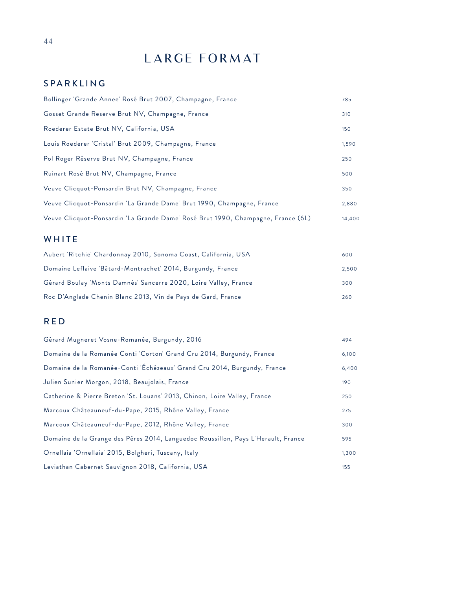## LARGE FORMAT

### SPARKLING

| Bollinger 'Grande Annee' Rosé Brut 2007, Champagne, France                       | 785    |
|----------------------------------------------------------------------------------|--------|
| Gosset Grande Reserve Brut NV, Champagne, France                                 | 310    |
| Roederer Estate Brut NV, California, USA                                         | 150    |
| Louis Roederer 'Cristal' Brut 2009, Champagne, France                            | 1,590  |
| Pol Roger Réserve Brut NV, Champagne, France                                     | 250    |
| Ruinart Rosé Brut NV, Champagne, France                                          | 500    |
| Veuve Clicquot-Ponsardin Brut NV, Champagne, France                              | 350    |
| Veuve Clicquot-Ponsardin 'La Grande Dame' Brut 1990, Champagne, France           | 2,880  |
| Veuve Clicquot-Ponsardin 'La Grande Dame' Rosé Brut 1990, Champagne, France (6L) | 14,400 |

### WHITE

| Aubert 'Ritchie' Chardonnay 2010, Sonoma Coast, California, USA  | 600   |
|------------------------------------------------------------------|-------|
| Domaine Leflaive 'Bâtard-Montrachet' 2014, Burgundy, France      | 2,500 |
| Gérard Boulay 'Monts Damnés' Sancerre 2020, Loire Valley, France | 300   |
| Roc D'Anglade Chenin Blanc 2013, Vin de Pays de Gard, France     | 260   |

### RED

| Gérard Mugneret Vosne-Romanée, Burgundy, 2016                                     | 494   |
|-----------------------------------------------------------------------------------|-------|
| Domaine de la Romanée Conti 'Corton' Grand Cru 2014, Burgundy, France             | 6,100 |
| Domaine de la Romanée-Conti 'Échézeaux' Grand Cru 2014, Burgundy, France          | 6,400 |
| Julien Sunier Morgon, 2018, Beaujolais, France                                    | 190   |
| Catherine & Pierre Breton 'St. Louans' 2013, Chinon, Loire Valley, France         | 250   |
| Marcoux Châteauneuf-du-Pape, 2015, Rhône Valley, France                           | 275   |
| Marcoux Châteauneuf-du-Pape, 2012, Rhône Valley, France                           | 300   |
| Domaine de la Grange des Pères 2014, Languedoc Roussillon, Pays L'Herault, France | 595   |
| Ornellaia 'Ornellaia' 2015, Bolgheri, Tuscany, Italy                              | 1,300 |
| Leviathan Cabernet Sauvignon 2018, California, USA                                | 155   |